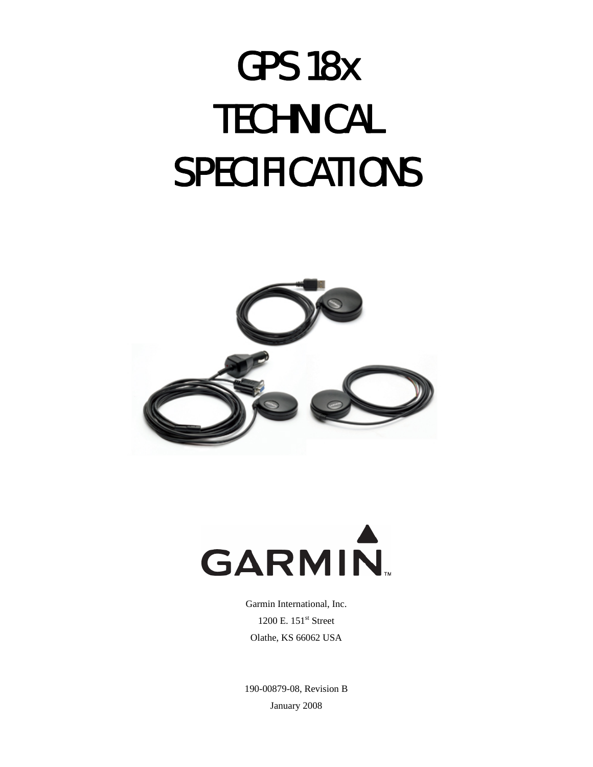# GPS 18x **TECHNICAL** SPECIFICATIONS





Garmin International, Inc. 1200 E. 151<sup>st</sup> Street Olathe, KS 66062 USA

190-00879-08, Revision B January 2008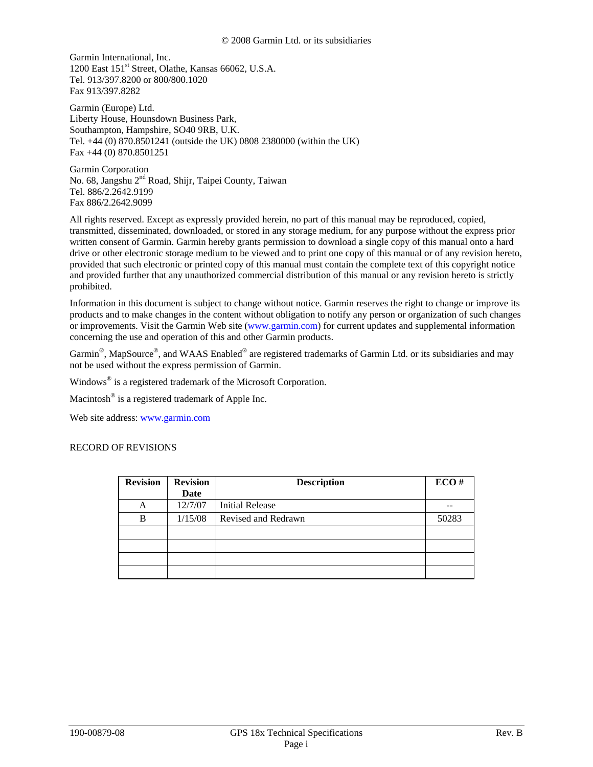Garmin International, Inc. 1200 East 151st Street, Olathe, Kansas 66062, U.S.A. Tel. 913/397.8200 or 800/800.1020 Fax 913/397.8282

Garmin (Europe) Ltd. Liberty House, Hounsdown Business Park, Southampton, Hampshire, SO40 9RB, U.K. Tel. +44 (0) 870.8501241 (outside the UK) 0808 2380000 (within the UK) Fax +44 (0) 870.8501251

Garmin Corporation No. 68, Jangshu 2<sup>nd</sup> Road, Shijr, Taipei County, Taiwan Tel. 886/2.2642.9199 Fax 886/2.2642.9099

All rights reserved. Except as expressly provided herein, no part of this manual may be reproduced, copied, transmitted, disseminated, downloaded, or stored in any storage medium, for any purpose without the express prior written consent of Garmin. Garmin hereby grants permission to download a single copy of this manual onto a hard drive or other electronic storage medium to be viewed and to print one copy of this manual or of any revision hereto, provided that such electronic or printed copy of this manual must contain the complete text of this copyright notice and provided further that any unauthorized commercial distribution of this manual or any revision hereto is strictly prohibited.

Information in this document is subject to change without notice. Garmin reserves the right to change or improve its products and to make changes in the content without obligation to notify any person or organization of such changes or improvements. Visit the Garmin Web site ([www.garmin.com](http://www.garmin.com/)) for current updates and supplemental information concerning the use and operation of this and other Garmin products.

Garmin®, MapSource®, and WAAS Enabled® are registered trademarks of Garmin Ltd. or its subsidiaries and may not be used without the express permission of Garmin.

Windows<sup>®</sup> is a registered trademark of the Microsoft Corporation.

Macintosh® is a registered trademark of Apple Inc.

Web site address: [www.garmin.com](http://www.garmin.com/)

#### RECORD OF REVISIONS

| <b>Revision</b> | <b>Revision</b> | <b>Description</b>     | ECO#  |
|-----------------|-----------------|------------------------|-------|
|                 | Date            |                        |       |
| A               | 12/7/07         | <b>Initial Release</b> |       |
| B               | 1/15/08         | Revised and Redrawn    | 50283 |
|                 |                 |                        |       |
|                 |                 |                        |       |
|                 |                 |                        |       |
|                 |                 |                        |       |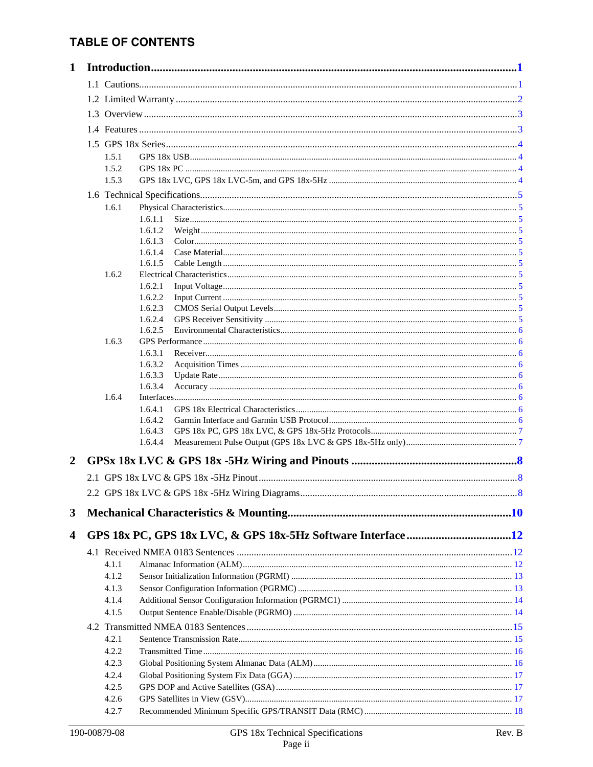# **TABLE OF CONTENTS**

| $\mathbf{1}$            |       |                    |  |
|-------------------------|-------|--------------------|--|
|                         |       |                    |  |
|                         |       |                    |  |
|                         |       |                    |  |
|                         |       |                    |  |
|                         |       |                    |  |
|                         |       |                    |  |
|                         | 1.5.1 |                    |  |
|                         | 1.5.2 |                    |  |
|                         | 1.5.3 |                    |  |
|                         |       |                    |  |
|                         | 1.6.1 |                    |  |
|                         |       | 1.6.1.1            |  |
|                         |       | 1.6.1.2            |  |
|                         |       | 1.6.1.3<br>1.6.1.4 |  |
|                         |       | 1.6.1.5            |  |
|                         | 1.6.2 |                    |  |
|                         |       | 1.6.2.1            |  |
|                         |       | 1.6.2.2            |  |
|                         |       | 1.6.2.3            |  |
|                         |       | 1.6.2.4            |  |
|                         |       | 1.6.2.5            |  |
|                         | 1.6.3 |                    |  |
|                         |       | 1.6.3.1            |  |
|                         |       | 1.6.3.2<br>1.6.3.3 |  |
|                         |       | 1.6.3.4            |  |
|                         | 1.6.4 |                    |  |
|                         |       | 1.6.4.1            |  |
|                         |       | 1.6.4.2            |  |
|                         |       | 1.6.4.3            |  |
|                         |       | 1.6.4.4            |  |
| $\overline{2}$          |       |                    |  |
|                         |       |                    |  |
|                         |       |                    |  |
|                         |       |                    |  |
| 3                       |       |                    |  |
|                         |       |                    |  |
| $\overline{\mathbf{4}}$ |       |                    |  |
|                         |       |                    |  |
|                         | 4.1.1 |                    |  |
|                         | 4.1.2 |                    |  |
|                         | 4.1.3 |                    |  |
|                         | 4.1.4 |                    |  |
|                         | 4.1.5 |                    |  |
|                         |       |                    |  |
|                         | 4.2.1 |                    |  |
|                         | 4.2.2 |                    |  |
|                         | 4.2.3 |                    |  |
|                         | 4.2.4 |                    |  |
|                         | 4.2.5 |                    |  |
|                         | 4.2.6 |                    |  |
|                         | 4.2.7 |                    |  |
|                         |       |                    |  |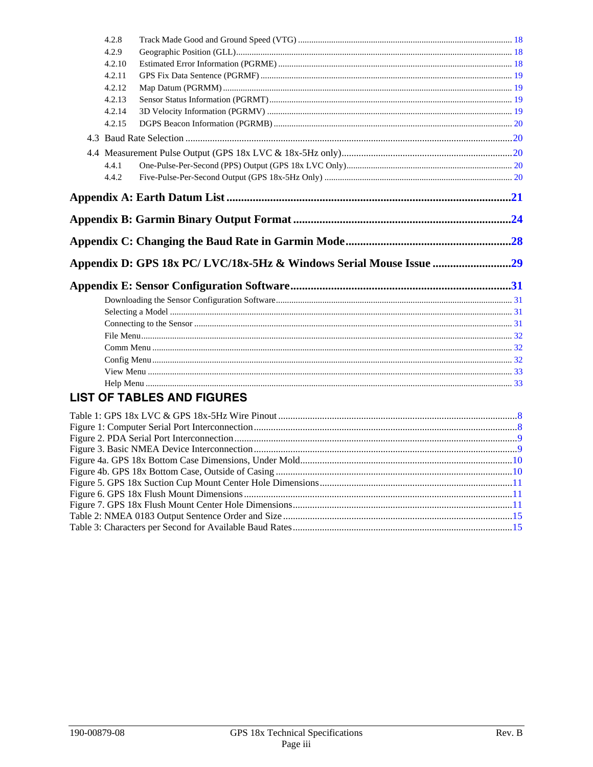| 4.2.8  |                                   |  |
|--------|-----------------------------------|--|
| 4.2.9  |                                   |  |
| 4.2.10 |                                   |  |
| 4.2.11 |                                   |  |
| 4.2.12 |                                   |  |
| 4.2.13 |                                   |  |
| 4.2.14 |                                   |  |
| 4.2.15 |                                   |  |
|        |                                   |  |
|        |                                   |  |
| 4.4.1  |                                   |  |
| 4.4.2  |                                   |  |
|        |                                   |  |
|        |                                   |  |
|        |                                   |  |
|        |                                   |  |
|        |                                   |  |
|        |                                   |  |
|        |                                   |  |
|        |                                   |  |
|        |                                   |  |
|        |                                   |  |
|        |                                   |  |
|        |                                   |  |
|        |                                   |  |
|        |                                   |  |
|        |                                   |  |
|        |                                   |  |
|        |                                   |  |
|        | <b>LIST OF TABLES AND FIGURES</b> |  |
|        |                                   |  |
|        |                                   |  |
|        |                                   |  |
|        |                                   |  |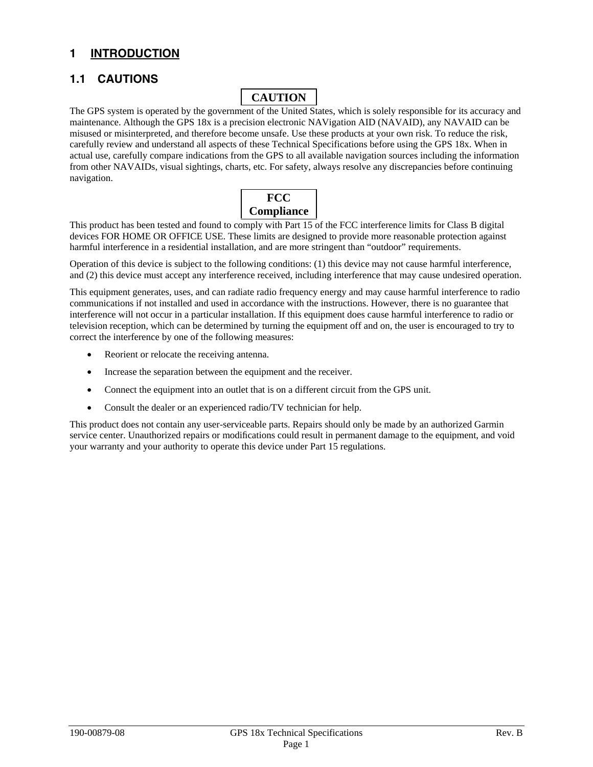# <span id="page-4-0"></span>**1 INTRODUCTION**

# **1.1 CAUTIONS**

# **CAUTION**

The GPS system is operated by the government of the United States, which is solely responsible for its accuracy and maintenance. Although the GPS 18x is a precision electronic NAVigation AID (NAVAID), any NAVAID can be misused or misinterpreted, and therefore become unsafe. Use these products at your own risk. To reduce the risk, carefully review and understand all aspects of these Technical Specifications before using the GPS 18x. When in actual use, carefully compare indications from the GPS to all available navigation sources including the information from other NAVAIDs, visual sightings, charts, etc. For safety, always resolve any discrepancies before continuing navigation.



This product has been tested and found to comply with Part 15 of the FCC interference limits for Class B digital devices FOR HOME OR OFFICE USE. These limits are designed to provide more reasonable protection against harmful interference in a residential installation, and are more stringent than "outdoor" requirements.

Operation of this device is subject to the following conditions: (1) this device may not cause harmful interference, and (2) this device must accept any interference received, including interference that may cause undesired operation.

This equipment generates, uses, and can radiate radio frequency energy and may cause harmful interference to radio communications if not installed and used in accordance with the instructions. However, there is no guarantee that interference will not occur in a particular installation. If this equipment does cause harmful interference to radio or television reception, which can be determined by turning the equipment off and on, the user is encouraged to try to correct the interference by one of the following measures:

- Reorient or relocate the receiving antenna.
- Increase the separation between the equipment and the receiver.
- Connect the equipment into an outlet that is on a different circuit from the GPS unit.
- Consult the dealer or an experienced radio/TV technician for help.

This product does not contain any user-serviceable parts. Repairs should only be made by an authorized Garmin service center. Unauthorized repairs or modifications could result in permanent damage to the equipment, and void your warranty and your authority to operate this device under Part 15 regulations.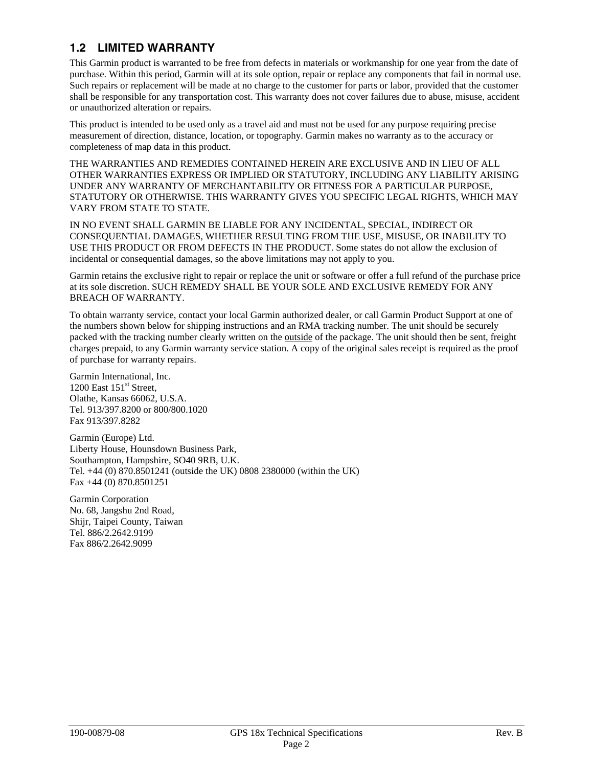# <span id="page-5-0"></span>**1.2 LIMITED WARRANTY**

This Garmin product is warranted to be free from defects in materials or workmanship for one year from the date of purchase. Within this period, Garmin will at its sole option, repair or replace any components that fail in normal use. Such repairs or replacement will be made at no charge to the customer for parts or labor, provided that the customer shall be responsible for any transportation cost. This warranty does not cover failures due to abuse, misuse, accident or unauthorized alteration or repairs.

This product is intended to be used only as a travel aid and must not be used for any purpose requiring precise measurement of direction, distance, location, or topography. Garmin makes no warranty as to the accuracy or completeness of map data in this product.

THE WARRANTIES AND REMEDIES CONTAINED HEREIN ARE EXCLUSIVE AND IN LIEU OF ALL OTHER WARRANTIES EXPRESS OR IMPLIED OR STATUTORY, INCLUDING ANY LIABILITY ARISING UNDER ANY WARRANTY OF MERCHANTABILITY OR FITNESS FOR A PARTICULAR PURPOSE, STATUTORY OR OTHERWISE. THIS WARRANTY GIVES YOU SPECIFIC LEGAL RIGHTS, WHICH MAY VARY FROM STATE TO STATE.

IN NO EVENT SHALL GARMIN BE LIABLE FOR ANY INCIDENTAL, SPECIAL, INDIRECT OR CONSEQUENTIAL DAMAGES, WHETHER RESULTING FROM THE USE, MISUSE, OR INABILITY TO USE THIS PRODUCT OR FROM DEFECTS IN THE PRODUCT. Some states do not allow the exclusion of incidental or consequential damages, so the above limitations may not apply to you.

Garmin retains the exclusive right to repair or replace the unit or software or offer a full refund of the purchase price at its sole discretion. SUCH REMEDY SHALL BE YOUR SOLE AND EXCLUSIVE REMEDY FOR ANY BREACH OF WARRANTY.

To obtain warranty service, contact your local Garmin authorized dealer, or call Garmin Product Support at one of the numbers shown below for shipping instructions and an RMA tracking number. The unit should be securely packed with the tracking number clearly written on the outside of the package. The unit should then be sent, freight charges prepaid, to any Garmin warranty service station. A copy of the original sales receipt is required as the proof of purchase for warranty repairs.

Garmin International, Inc. 1200 East  $151<sup>st</sup>$  Street, Olathe, Kansas 66062, U.S.A. Tel. 913/397.8200 or 800/800.1020 Fax 913/397.8282

Garmin (Europe) Ltd. Liberty House, Hounsdown Business Park, Southampton, Hampshire, SO40 9RB, U.K. Tel. +44 (0) 870.8501241 (outside the UK) 0808 2380000 (within the UK) Fax +44 (0) 870.8501251

Garmin Corporation No. 68, Jangshu 2nd Road, Shijr, Taipei County, Taiwan Tel. 886/2.2642.9199 Fax 886/2.2642.9099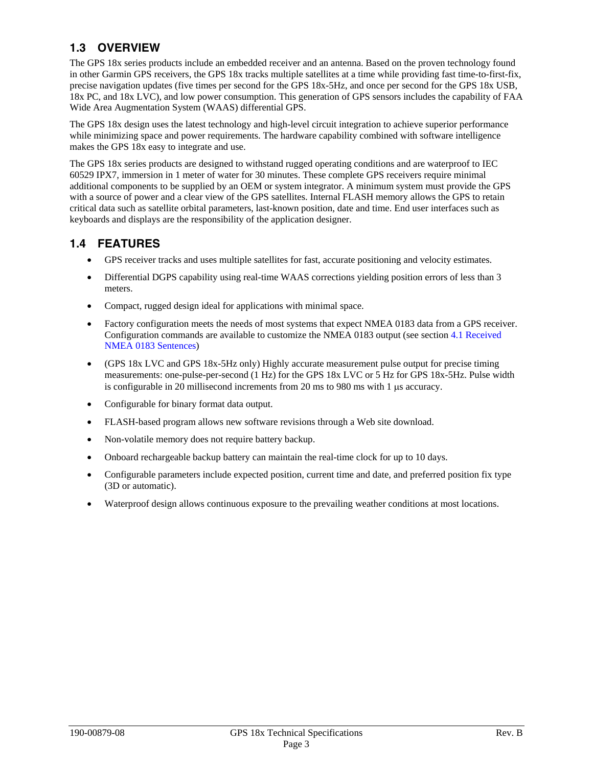# <span id="page-6-0"></span>**1.3 OVERVIEW**

The GPS 18x series products include an embedded receiver and an antenna. Based on the proven technology found in other Garmin GPS receivers, the GPS 18x tracks multiple satellites at a time while providing fast time-to-first-fix, precise navigation updates (five times per second for the GPS 18x-5Hz, and once per second for the GPS 18x USB, 18x PC, and 18x LVC), and low power consumption. This generation of GPS sensors includes the capability of FAA Wide Area Augmentation System (WAAS) differential GPS.

The GPS 18x design uses the latest technology and high-level circuit integration to achieve superior performance while minimizing space and power requirements. The hardware capability combined with software intelligence makes the GPS 18x easy to integrate and use.

The GPS 18x series products are designed to withstand rugged operating conditions and are waterproof to IEC 60529 IPX7, immersion in 1 meter of water for 30 minutes. These complete GPS receivers require minimal additional components to be supplied by an OEM or system integrator. A minimum system must provide the GPS with a source of power and a clear view of the GPS satellites. Internal FLASH memory allows the GPS to retain critical data such as satellite orbital parameters, last-known position, date and time. End user interfaces such as keyboards and displays are the responsibility of the application designer.

# **1.4 FEATURES**

- GPS receiver tracks and uses multiple satellites for fast, accurate positioning and velocity estimates.
- Differential DGPS capability using real-time WAAS corrections yielding position errors of less than 3 meters.
- Compact, rugged design ideal for applications with minimal space.
- Factory configuration meets the needs of most systems that expect NMEA 0183 data from a GPS receiver. Configuration commands are available to customize the NMEA 0183 output (see [section 4.1 Received](#page-15-0)  [NMEA 0183 Sentences\)](#page-15-0)
- (GPS 18x LVC and GPS 18x-5Hz only) Highly accurate measurement pulse output for precise timing measurements: one-pulse-per-second (1 Hz) for the GPS 18x LVC or 5 Hz for GPS 18x-5Hz. Pulse width is configurable in 20 millisecond increments from 20 ms to 980 ms with 1 μs accuracy.
- Configurable for binary format data output.
- FLASH-based program allows new software revisions through a Web site download.
- Non-volatile memory does not require battery backup.
- Onboard rechargeable backup battery can maintain the real-time clock for up to 10 days.
- Configurable parameters include expected position, current time and date, and preferred position fix type (3D or automatic).
- Waterproof design allows continuous exposure to the prevailing weather conditions at most locations.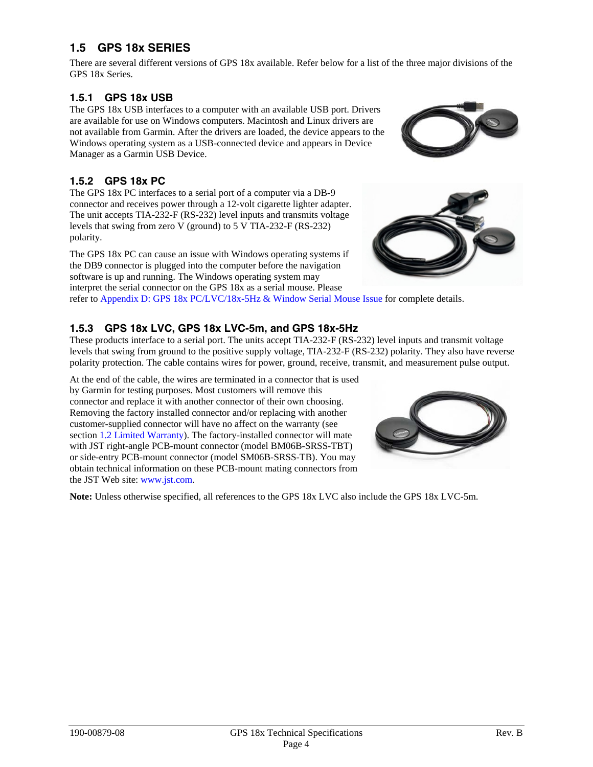# <span id="page-7-0"></span>**1.5 GPS 18x SERIES**

There are several different versions of GPS 18x available. Refer below for a list of the three major divisions of the GPS 18x Series.

## **1.5.1 GPS 18x USB**

The GPS 18x USB interfaces to a computer with an available USB port. Drivers are available for use on Windows computers. Macintosh and Linux drivers are not available from Garmin. After the drivers are loaded, the device appears to the Windows operating system as a USB-connected device and appears in Device Manager as a Garmin USB Device.

## **1.5.2 GPS 18x PC**

The GPS 18x PC interfaces to a serial port of a computer via a DB-9 connector and receives power through a 12-volt cigarette lighter adapter. The unit accepts TIA-232-F (RS-232) level inputs and transmits voltage levels that swing from zero V (ground) to 5 V TIA-232-F (RS-232) polarity.

The GPS 18x PC can cause an issue with Windows operating systems if the DB9 connector is plugged into the computer before the navigation software is up and running. The Windows operating system may interpret the serial connector on the GPS 18x as a serial mouse. Please





refer to [Appendix D: GPS 18x PC/LVC/18x-5Hz & Window Serial Mouse Issue](#page-32-0) for complete details.

## **1.5.3 GPS 18x LVC, GPS 18x LVC-5m, and GPS 18x-5Hz**

These products interface to a serial port. The units accept TIA-232-F (RS-232) level inputs and transmit voltage levels that swing from ground to the positive supply voltage, [TIA-232-F \(RS-232\)](http://www.tiaonline.org/standards/search_results2.cfm?document_no=TIA-232-F) polarity. They also have reverse polarity protection. The cable contains wires for power, ground, receive, transmit, and measurement pulse output.

At the end of the cable, the wires are terminated in a connector that is used by Garmin for testing purposes. Most customers will remove this connector and replace it with another connector of their own choosing. Removing the factory installed connector and/or replacing with another customer-supplied connector will have no affect on the warranty (see [section 1.2 Limited Warranty\)](#page-5-0). The factory-installed connector will mate with JST right-angle PCB-mount connector (model BM06B-SRSS-TBT) or side-entry PCB-mount connector (model SM06B-SRSS-TB). You may obtain technical information on these PCB-mount mating connectors from the JST Web site: [www.jst.com.](http://www.jst.com/)



Note: Unless otherwise specified, all references to the GPS 18x LVC also include the GPS 18x LVC-5m.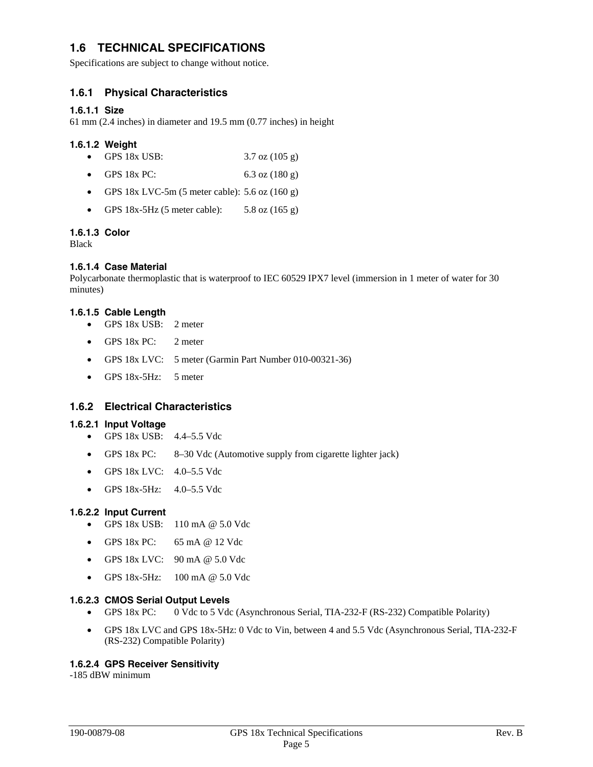## <span id="page-8-0"></span>**1.6 TECHNICAL SPECIFICATIONS**

Specifications are subject to change without notice.

#### **1.6.1 Physical Characteristics**

#### **1.6.1.1 Size**

61 mm (2.4 inches) in diameter and 19.5 mm (0.77 inches) in height

#### **1.6.1.2 Weight**

- GPS 18x USB: 3.7 oz (105 g)
- GPS 18x PC: 6.3 oz (180 g)
- GPS  $18x$  LVC-5m (5 meter cable): 5.6 oz (160 g)
- GPS 18x-5Hz (5 meter cable):  $5.8 \text{ oz} (165 \text{ g})$

#### **1.6.1.3 Color**

Black

#### **1.6.1.4 Case Material**

Polycarbonate thermoplastic that is waterproof to IEC 60529 IPX7 level (immersion in 1 meter of water for 30 minutes)

#### **1.6.1.5 Cable Length**

- GPS 18x USB: 2 meter
- GPS 18x PC: 2 meter
- GPS 18x LVC: 5 meter (Garmin Part Number 010-00321-36)
- GPS 18x-5Hz: 5 meter

#### **1.6.2 Electrical Characteristics**

#### **1.6.2.1 Input Voltage**

- GPS 18x USB: 4.4–5.5 Vdc
- GPS 18x PC: 8–30 Vdc (Automotive supply from cigarette lighter jack)
- GPS 18x LVC: 4.0–5.5 Vdc
- GPS 18x-5Hz: 4.0–5.5 Vdc

#### **1.6.2.2 Input Current**

- GPS  $18x$  USB:  $110$  mA  $@$  5.0 Vdc
- GPS 18x PC: 65 mA @ 12 Vdc
- GPS 18x LVC: 90 mA @ 5.0 Vdc
- GPS 18x-5Hz: 100 mA @ 5.0 Vdc

#### **1.6.2.3 CMOS Serial Output Levels**

- GPS 18x PC: 0 Vdc to 5 Vdc (Asynchronous Serial, TIA-232-F (RS-232) Compatible Polarity)
- GPS 18x LVC and GPS 18x-5Hz: 0 Vdc to Vin, between 4 and 5.5 Vdc (Asynchronous Serial, TIA-232-F (RS-232) Compatible Polarity)

#### **1.6.2.4 GPS Receiver Sensitivity**

-185 dBW minimum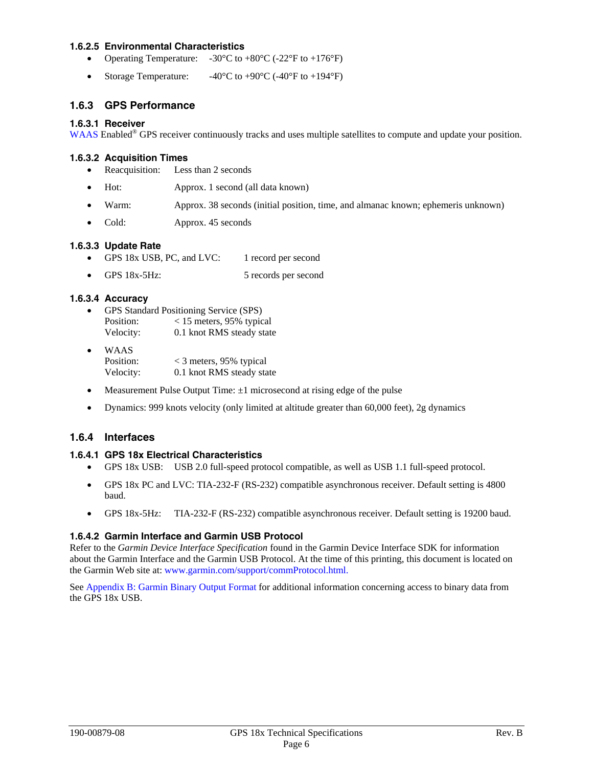#### <span id="page-9-0"></span>**1.6.2.5 Environmental Characteristics**

- Operating Temperature:  $-30^{\circ}$ C to  $+80^{\circ}$ C ( $-22^{\circ}$ F to  $+176^{\circ}$ F)
- Storage Temperature:  $-40^{\circ}$ C to  $+90^{\circ}$ C (-40<sup>°</sup>F to  $+194^{\circ}$ F)

#### **1.6.3 GPS Performance**

#### **1.6.3.1 Receiver**

[WAAS](http://www.garmin.com/aboutGPS/waas.html) Enabled<sup>®</sup> GPS receiver continuously tracks and uses multiple satellites to compute and update your position.

#### **1.6.3.2 Acquisition Times**

- Reacquisition: Less than 2 seconds
- Hot: Approx. 1 second (all data known)
- Warm: Approx. 38 seconds (initial position, time, and almanac known; ephemeris unknown)
- Cold: Approx. 45 seconds

#### **1.6.3.3 Update Rate**

- GPS 18x USB, PC, and LVC: 1 record per second
- GPS 18x-5Hz: 5 records per second

#### **1.6.3.4 Accuracy**

- GPS Standard Positioning Service (SPS) Position: < 15 meters, 95% typical Velocity: 0.1 knot RMS steady state
- WAAS Position: < 3 meters, 95% typical Velocity: 0.1 knot RMS steady state
- Measurement Pulse Output Time:  $\pm 1$  microsecond at rising edge of the pulse
- Dynamics: 999 knots velocity (only limited at altitude greater than 60,000 feet), 2g dynamics

#### **1.6.4 Interfaces**

#### **1.6.4.1 GPS 18x Electrical Characteristics**

- GPS 18x USB: USB 2.0 full-speed protocol compatible, as well as USB 1.1 full-speed protocol.
- GPS 18x PC and LVC: [TIA-232-F \(RS-232\)](http://www.tiaonline.org/standards/search_results2.cfm?document_no=TIA-232-F) compatible asynchronous receiver. Default setting is 4800 baud.
- GPS 18x-5Hz: [TIA-232-F \(RS-232\)](http://www.tiaonline.org/standards/search_results2.cfm?document_no=TIA-232-F) compatible asynchronous receiver. Default setting is 19200 baud.

#### **1.6.4.2 Garmin Interface and Garmin USB Protocol**

Refer to the *Garmin Device Interface Specification* found in the Garmin Device Interface SDK for information about the Garmin Interface and the Garmin USB Protocol. At the time of this printing, this document is located on the Garmin Web site at: [www.garmin.com/support/commProtocol.html.](http://www.garmin.com/support/commProtocol.html)

Se[e Appendix B: Garmin Binary Output Format](#page-27-0) for additional information concerning access to binary data from the GPS 18x USB.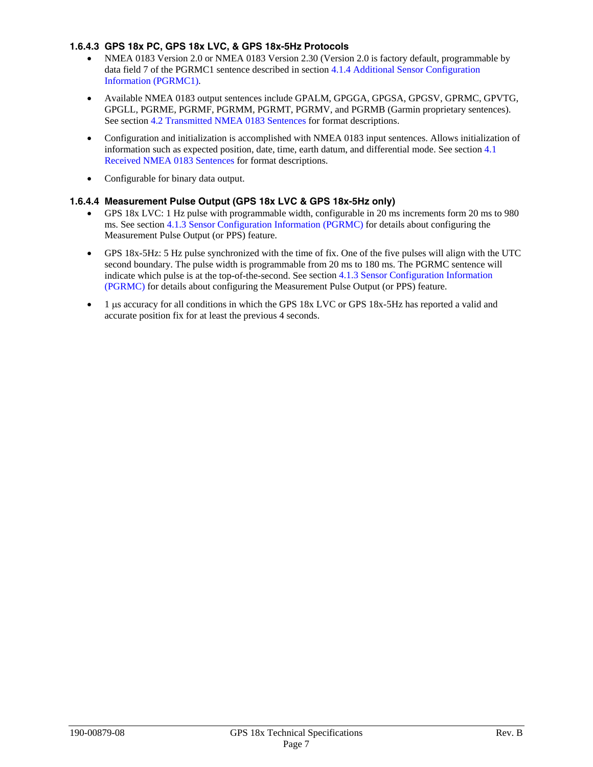#### <span id="page-10-0"></span>**1.6.4.3 GPS 18x PC, GPS 18x LVC, & GPS 18x-5Hz Protocols**

- NMEA 0183 Version 2.0 or NMEA 0183 Version 2.30 (Version 2.0 is factory default, programmable by data field 7 of the PGRMC1 sentence described i[n section 4.1.4 Additional Sensor Configuration](#page-17-0)  [Information \(PGRMC1\).](#page-17-0)
- Available NMEA 0183 output sentences include GPALM, GPGGA, GPGSA, GPGSV, GPRMC, GPVTG, GPGLL, PGRME, PGRMF, PGRMM, PGRMT, PGRMV, and PGRMB (Garmin proprietary sentences). Se[e section 4.2 Transmitted NMEA 0183 Sentences](#page-18-0) for format descriptions.
- Configuration and initialization is accomplished with NMEA 0183 input sentences. Allows initialization of information such as expected position, date, time, earth datum, and differential mode. Se[e section 4.1](#page-15-0)  [Received NMEA 0183 Sentences](#page-15-0) for format descriptions.
- Configurable for binary data output.

#### **1.6.4.4 Measurement Pulse Output (GPS 18x LVC & GPS 18x-5Hz only)**

- GPS 18x LVC: 1 Hz pulse with programmable width, configurable in 20 ms increments form 20 ms to 980 ms. Se[e section 4.1.3 Sensor Configuration Information \(PGRMC\) f](#page-16-0)or details about configuring the Measurement Pulse Output (or PPS) feature.
- GPS 18x-5Hz: 5 Hz pulse synchronized with the time of fix. One of the five pulses will align with the UTC second boundary. The pulse width is programmable from 20 ms to 180 ms. The PGRMC sentence will indicate which pulse is at the top-of-the-second. See [section 4.1.3 Sensor Configuration Information](#page-16-0)  [\(PGRMC\)](#page-16-0) for details about configuring the Measurement Pulse Output (or PPS) feature.
- 1 μs accuracy for all conditions in which the GPS 18x LVC or GPS 18x-5Hz has reported a valid and accurate position fix for at least the previous 4 seconds.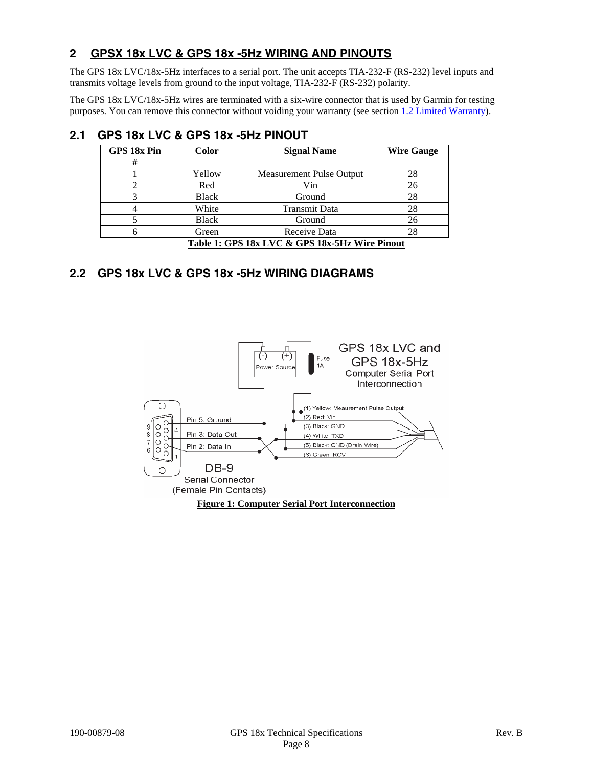# <span id="page-11-0"></span>**2 GPSX 18x LVC & GPS 18x -5Hz WIRING AND PINOUTS**

The GPS 18x LVC/18x-5Hz interfaces to a serial port. The unit accepts TIA-232-F (RS-232) level inputs and transmits voltage levels from ground to the input voltage, TIA-232-F (RS-232) polarity.

The GPS 18x LVC/18x-5Hz wires are terminated with a six-wire connector that is used by Garmin for testing purposes. You can remove this connector without voiding your warranty (see [section 1.2 Limited Warranty](#page-5-0)).

| GPS 18x Pin<br>#                               | Color        | <b>Signal Name</b>       | <b>Wire Gauge</b> |
|------------------------------------------------|--------------|--------------------------|-------------------|
|                                                | Yellow       | Measurement Pulse Output | 28                |
|                                                | Red          | Vin                      | 26                |
| 3                                              | <b>Black</b> | Ground                   | 28                |
|                                                | White        | <b>Transmit Data</b>     | 28                |
|                                                | <b>Black</b> | Ground                   | 26                |
|                                                | Green        | Receive Data             | 28                |
| Table 1: GPS 18x LVC & GPS 18x-5Hz Wire Pinout |              |                          |                   |

# **2.1 GPS 18x LVC & GPS 18x -5Hz PINOUT**

# **2.2 GPS 18x LVC & GPS 18x -5Hz WIRING DIAGRAMS**

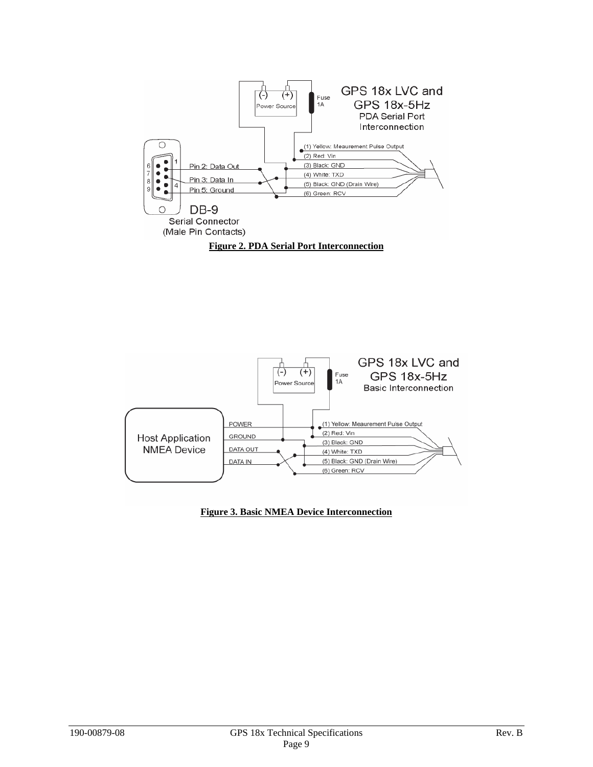<span id="page-12-0"></span>



**Figure 3. Basic NMEA Device Interconnection**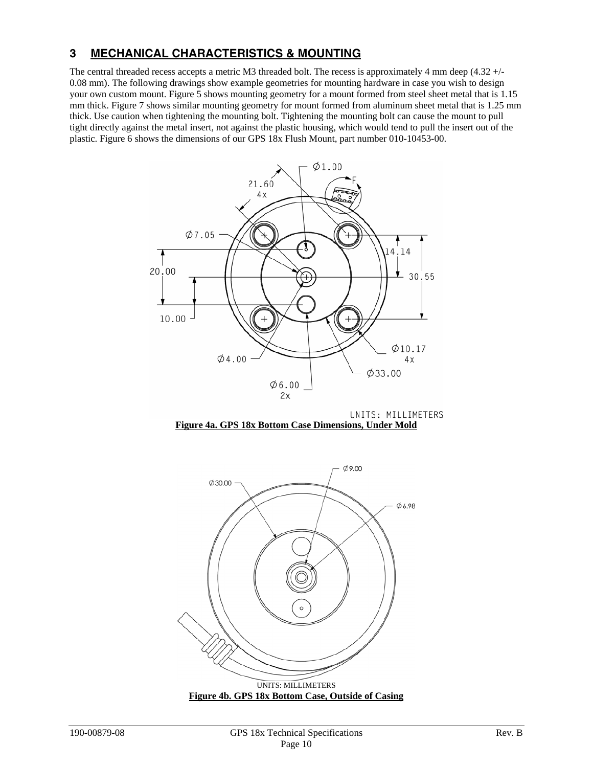## <span id="page-13-0"></span>**3 MECHANICAL CHARACTERISTICS & MOUNTING**

The central threaded recess accepts a metric M3 threaded bolt. The recess is approximately 4 mm deep (4.32 +/- 0.08 mm). The following drawings show example geometries for mounting hardware in case you wish to design your own custom mount. Figure 5 shows mounting geometry for a mount formed from steel sheet metal that is 1.15 mm thick. Figure 7 shows similar mounting geometry for mount formed from aluminum sheet metal that is 1.25 mm thick. Use caution when tightening the mounting bolt. Tightening the mounting bolt can cause the mount to pull tight directly against the metal insert, not against the plastic housing, which would tend to pull the insert out of the plastic. Figure 6 shows the dimensions of our GPS 18x Flush Mount, part number 010-10453-00.



UNITS: MILLIMETERS **Figure 4a. GPS 18x Bottom Case Dimensions, Under Mold**



**Figure 4b. GPS 18x Bottom Case, Outside of Casing**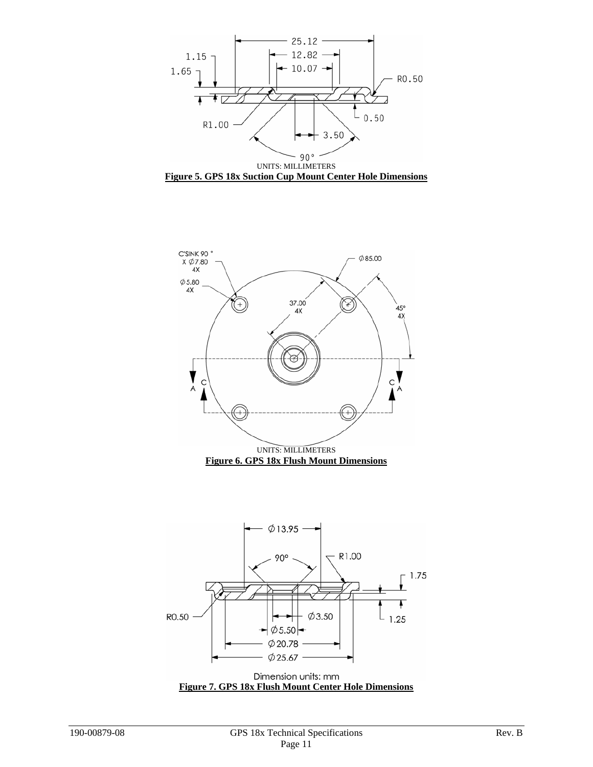<span id="page-14-0"></span>



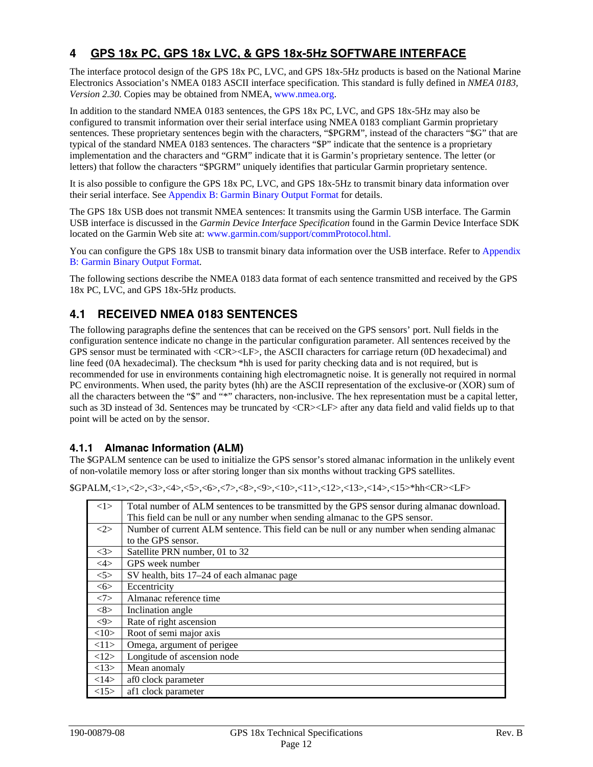# <span id="page-15-0"></span>**4 GPS 18x PC, GPS 18x LVC, & GPS 18x-5Hz SOFTWARE INTERFACE**

The interface protocol design of the GPS 18x PC, LVC, and GPS 18x-5Hz products is based on the National Marine Electronics Association's NMEA 0183 ASCII interface specification. This standard is fully defined in *NMEA 0183, Version 2.30*. Copies may be obtained from NMEA, [www.nmea.org](http://www.nmea.org/).

In addition to the standard NMEA 0183 sentences, the GPS 18x PC, LVC, and GPS 18x-5Hz may also be configured to transmit information over their serial interface using NMEA 0183 compliant Garmin proprietary sentences. These proprietary sentences begin with the characters, "\$PGRM", instead of the characters "\$G" that are typical of the standard NMEA 0183 sentences. The characters "\$P" indicate that the sentence is a proprietary implementation and the characters and "GRM" indicate that it is Garmin's proprietary sentence. The letter (or letters) that follow the characters "\$PGRM" uniquely identifies that particular Garmin proprietary sentence.

It is also possible to configure the GPS 18x PC, LVC, and GPS 18x-5Hz to transmit binary data information over their serial interface. See [Appendix B: Garmin Binary Output Format](#page-27-0) for details.

The GPS 18x USB does not transmit NMEA sentences: It transmits using the Garmin USB interface. The Garmin USB interface is discussed in the *Garmin Device Interface Specification* found in the Garmin Device Interface SDK located on the Garmin Web site at: [www.garmin.com/support/commProtocol.html](http://www.garmin.com/support/commProtocol.html).

You can configure the GPS 18x USB to transmit binary data information over the USB interface. Refer to [Appendix](#page-27-0)  [B: Garmin Binary Output Format.](#page-27-0)

The following sections describe the NMEA 0183 data format of each sentence transmitted and received by the GPS 18x PC, LVC, and GPS 18x-5Hz products.

# **4.1 RECEIVED NMEA 0183 SENTENCES**

The following paragraphs define the sentences that can be received on the GPS sensors' port. Null fields in the configuration sentence indicate no change in the particular configuration parameter. All sentences received by the GPS sensor must be terminated with <CR><LF>, the ASCII characters for carriage return (0D hexadecimal) and line feed (0A hexadecimal). The checksum \*hh is used for parity checking data and is not required, but is recommended for use in environments containing high electromagnetic noise. It is generally not required in normal PC environments. When used, the parity bytes (hh) are the ASCII representation of the exclusive-or (XOR) sum of all the characters between the "\$" and "\*" characters, non-inclusive. The hex representation must be a capital letter, such as 3D instead of 3d. Sentences may be truncated by  $\langle CR \rangle \langle LF \rangle$  after any data field and valid fields up to that point will be acted on by the sensor.

#### **4.1.1 Almanac Information (ALM)**

The \$GPALM sentence can be used to initialize the GPS sensor's stored almanac information in the unlikely event of non-volatile memory loss or after storing longer than six months without tracking GPS satellites.

\$GPALM,<1>,<2>,<3>,<4>,<5>,<6>,<7>,<8>,<9>,<10>,<11>,<12>,<13>,<14>,<15>\*hh<CR><LF>

| <1>           | Total number of ALM sentences to be transmitted by the GPS sensor during almanac download. |
|---------------|--------------------------------------------------------------------------------------------|
|               | This field can be null or any number when sending almanac to the GPS sensor.               |
| <2>           | Number of current ALM sentence. This field can be null or any number when sending almanac  |
|               | to the GPS sensor.                                                                         |
| <3>           | Satellite PRN number, 01 to 32                                                             |
| $<\!\!4\!\!>$ | GPS week number                                                                            |
| 5>            | SV health, bits 17–24 of each almanac page                                                 |
| $<\!\!6\!\!>$ | Eccentricity                                                                               |
| <7>           | Almanac reference time                                                                     |
| <8>           | Inclination angle                                                                          |
| $<\!\!9\!\!>$ | Rate of right ascension                                                                    |
| <10>          | Root of semi major axis                                                                    |
| <11>          | Omega, argument of perigee                                                                 |
| <12>          | Longitude of ascension node                                                                |
| <13>          | Mean anomaly                                                                               |
| <14>          | af0 clock parameter                                                                        |
| <15>          | af1 clock parameter                                                                        |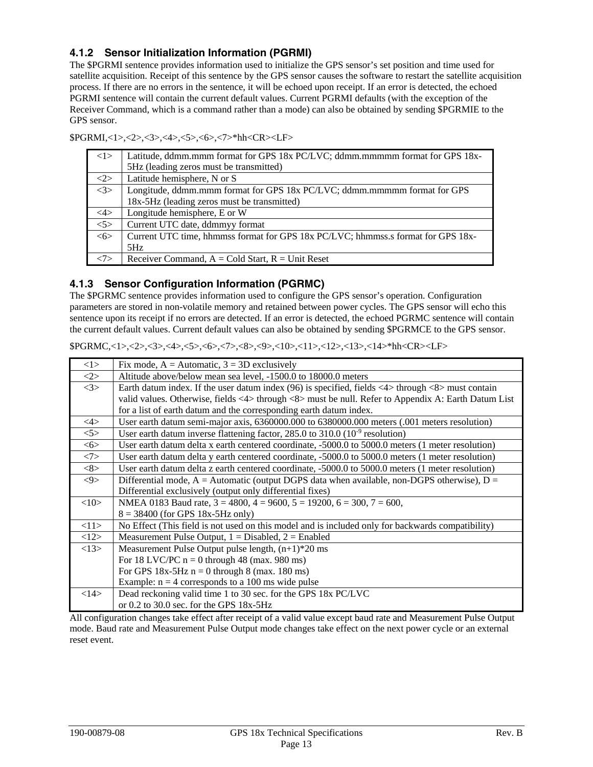## <span id="page-16-0"></span>**4.1.2 Sensor Initialization Information (PGRMI)**

The \$PGRMI sentence provides information used to initialize the GPS sensor's set position and time used for satellite acquisition. Receipt of this sentence by the GPS sensor causes the software to restart the satellite acquisition process. If there are no errors in the sentence, it will be echoed upon receipt. If an error is detected, the echoed PGRMI sentence will contain the current default values. Current PGRMI defaults (with the exception of the Receiver Command, which is a command rather than a mode) can also be obtained by sending \$PGRMIE to the GPS sensor.

| $\langle 1 \rangle$ | Latitude, ddmm.mmm format for GPS 18x PC/LVC; ddmm.mmmmm format for GPS 18x-     |
|---------------------|----------------------------------------------------------------------------------|
|                     | 5Hz (leading zeros must be transmitted)                                          |
| <2>                 | Latitude hemisphere, N or S                                                      |
| $\langle 3 \rangle$ | Longitude, ddmm.mmm format for GPS 18x PC/LVC; ddmm.mmmmm format for GPS         |
|                     | 18x-5Hz (leading zeros must be transmitted)                                      |
| $<\!\!4\!\!>$       | Longitude hemisphere, E or W                                                     |
| $<$ 5>              | Current UTC date, ddmmyy format                                                  |
| <6>                 | Current UTC time, hhmmss format for GPS 18x PC/LVC; hhmmss.s format for GPS 18x- |
|                     | 5Hz                                                                              |
|                     | Receiver Command, $A = Cold Start$ , $R = Unit$ Reset                            |

\$PGRMI,<1>,<2>,<3>,<4>,<5>,<6>,<7>\*hh<CR><LF>

#### **4.1.3 Sensor Configuration Information (PGRMC)**

The \$PGRMC sentence provides information used to configure the GPS sensor's operation. Configuration parameters are stored in non-volatile memory and retained between power cycles. The GPS sensor will echo this sentence upon its receipt if no errors are detected. If an error is detected, the echoed PGRMC sentence will contain the current default values. Current default values can also be obtained by sending \$PGRMCE to the GPS sensor.

| < l >                                 | Fix mode, $A =$ Automatic, $3 = 3D$ exclusively                                                                                   |
|---------------------------------------|-----------------------------------------------------------------------------------------------------------------------------------|
| $<\!\!2\!\!>$                         | Altitude above/below mean sea level, -1500.0 to 18000.0 meters                                                                    |
| <3>                                   | Earth datum index. If the user datum index (96) is specified, fields $\langle 4 \rangle$ through $\langle 8 \rangle$ must contain |
|                                       | valid values. Otherwise, fields <4> through <8> must be null. Refer to Appendix A: Earth Datum List                               |
|                                       | for a list of earth datum and the corresponding earth datum index.                                                                |
| $<\!\!4\!\!>$                         | User earth datum semi-major axis, 6360000.000 to 6380000.000 meters (.001 meters resolution)                                      |
| 5                                     | User earth datum inverse flattening factor, 285.0 to 310.0 $(10^{-9} \text{ resolution})$                                         |
| $<\!\!6\!\!>$                         | User earth datum delta x earth centered coordinate, -5000.0 to 5000.0 meters (1 meter resolution)                                 |
| <7>                                   | User earth datum delta y earth centered coordinate, -5000.0 to 5000.0 meters (1 meter resolution)                                 |
| <8>                                   | User earth datum delta z earth centered coordinate, -5000.0 to 5000.0 meters (1 meter resolution)                                 |
| $< \hspace{-0.1cm}9 \hspace{-0.1cm}>$ | Differential mode, $A =$ Automatic (output DGPS data when available, non-DGPS otherwise), $D =$                                   |
|                                       | Differential exclusively (output only differential fixes)                                                                         |
| <10                                   | NMEA 0183 Baud rate, $3 = 4800$ , $4 = 9600$ , $5 = 19200$ , $6 = 300$ , $7 = 600$ ,                                              |
|                                       | $8 = 38400$ (for GPS 18x-5Hz only)                                                                                                |
| <11>                                  | No Effect (This field is not used on this model and is included only for backwards compatibility)                                 |
| <12>                                  | Measurement Pulse Output, $1 = Disabeled$ , $2 = Enabeled$                                                                        |
| <13>                                  | Measurement Pulse Output pulse length, $(n+1)*20$ ms                                                                              |
|                                       | For 18 LVC/PC $n = 0$ through 48 (max. 980 ms)                                                                                    |
|                                       | For GPS $18x-5Hz$ n = 0 through 8 (max. 180 ms)                                                                                   |
|                                       | Example: $n = 4$ corresponds to a 100 ms wide pulse                                                                               |
| <14>                                  | Dead reckoning valid time 1 to 30 sec. for the GPS 18x PC/LVC                                                                     |
|                                       | or 0.2 to 30.0 sec. for the GPS 18x-5Hz                                                                                           |
|                                       | All configuration changes take effect after receipt of a valid value except baud rate and Measurement Pulse Output                |

 $$PGRMC < 1 > 2 > 3 < 4 > 5 > 1$ ,  $< 5 > 12 < 8 > 25 < 11 > 11 < 12 < 13 < 14 > 11 < 12 < 15 > 11$ 

All configuration changes take effect after receipt of a valid value except baud rate and Measurement Pulse Output mode. Baud rate and Measurement Pulse Output mode changes take effect on the next power cycle or an external reset event.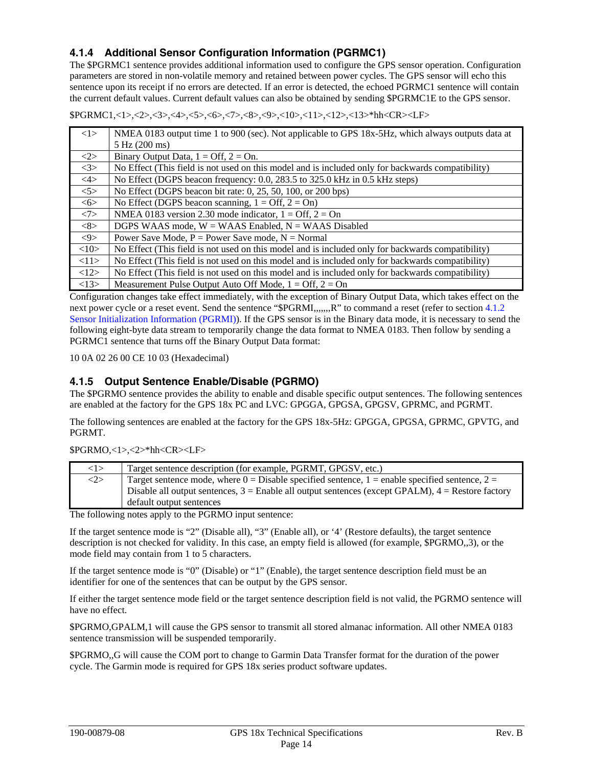## <span id="page-17-0"></span>**4.1.4 Additional Sensor Configuration Information (PGRMC1)**

The \$PGRMC1 sentence provides additional information used to configure the GPS sensor operation. Configuration parameters are stored in non-volatile memory and retained between power cycles. The GPS sensor will echo this sentence upon its receipt if no errors are detected. If an error is detected, the echoed PGRMC1 sentence will contain the current default values. Current default values can also be obtained by sending \$PGRMC1E to the GPS sensor.

\$PGRMC1,<1>,<2>,<3>,<4>,<5>,<6>,<7>,<8>,<9>,<10>,<11>,<12>,<13>\*hh<CR><LF>

| <1>                 | NMEA 0183 output time 1 to 900 (sec). Not applicable to GPS 18x-5Hz, which always outputs data at |
|---------------------|---------------------------------------------------------------------------------------------------|
|                     | 5 Hz (200 ms)                                                                                     |
| <2>                 | Binary Output Data, $1 = \text{Off}$ , $2 = \text{On}$ .                                          |
| <3>                 | No Effect (This field is not used on this model and is included only for backwards compatibility) |
| $\langle 4 \rangle$ | No Effect (DGPS beacon frequency: 0.0, 283.5 to 325.0 kHz in 0.5 kHz steps)                       |
| 5                   | No Effect (DGPS beacon bit rate: 0, 25, 50, 100, or 200 bps)                                      |
| 55                  | No Effect (DGPS beacon scanning, $1 = \text{Off}, 2 = \text{On}$ )                                |
| <7>                 | NMEA 0183 version 2.30 mode indicator, $1 = \text{Off}$ , $2 = \text{On}$                         |
| <8>                 | DGPS WAAS mode, $W = WAAS$ Enabled, $N = WAAS$ Disabled                                           |
| $<\!\!9\!\!>$       | Power Save Mode, $P = Power$ Save mode, $N = Normal$                                              |
| <10>                | No Effect (This field is not used on this model and is included only for backwards compatibility) |
| <11>                | No Effect (This field is not used on this model and is included only for backwards compatibility) |
| <12>                | No Effect (This field is not used on this model and is included only for backwards compatibility) |
| <13>                | Measurement Pulse Output Auto Off Mode, $1 = \text{Off}$ , $2 = \text{On}$                        |

Configuration changes take effect immediately, with the exception of Binary Output Data, which takes effect on the next power cycle or a reset event. Send the sentence "\$PGRMI,,,,,,,R" to command a reset (refer to section 4.1.2 [Sensor Initialization Information \(PGRMI\)\)](#page-16-0). If the GPS sensor is in the Binary data mode, it is necessary to send the following eight-byte data stream to temporarily change the data format to NMEA 0183. Then follow by sending a PGRMC1 sentence that turns off the Binary Output Data format:

10 0A 02 26 00 CE 10 03 (Hexadecimal)

## **4.1.5 Output Sentence Enable/Disable (PGRMO)**

The \$PGRMO sentence provides the ability to enable and disable specific output sentences. The following sentences are enabled at the factory for the GPS 18x PC and LVC: GPGGA, GPGSA, GPGSV, GPRMC, and PGRMT.

The following sentences are enabled at the factory for the GPS 18x-5Hz: GPGGA, GPGSA, GPRMC, GPVTG, and PGRMT.

\$PGRMO,<1>,<2>\*hh<CR><LF>

| 1>  | Target sentence description (for example, PGRMT, GPGSV, etc.)                                         |
|-----|-------------------------------------------------------------------------------------------------------|
| <2> | Target sentence mode, where $0 = Disable$ specified sentence, $1 =$ enable specified sentence, $2 =$  |
|     | Disable all output sentences, $3 =$ Enable all output sentences (except GPALM), $4 =$ Restore factory |
|     | default output sentences                                                                              |

The following notes apply to the PGRMO input sentence:

If the target sentence mode is "2" (Disable all), "3" (Enable all), or '4' (Restore defaults), the target sentence description is not checked for validity. In this case, an empty field is allowed (for example, \$PGRMO,,3), or the mode field may contain from 1 to 5 characters.

If the target sentence mode is "0" (Disable) or "1" (Enable), the target sentence description field must be an identifier for one of the sentences that can be output by the GPS sensor.

If either the target sentence mode field or the target sentence description field is not valid, the PGRMO sentence will have no effect.

\$PGRMO,GPALM,1 will cause the GPS sensor to transmit all stored almanac information. All other NMEA 0183 sentence transmission will be suspended temporarily.

\$PGRMO,,G will cause the COM port to change to Garmin Data Transfer format for the duration of the power cycle. The Garmin mode is required for GPS 18x series product software updates.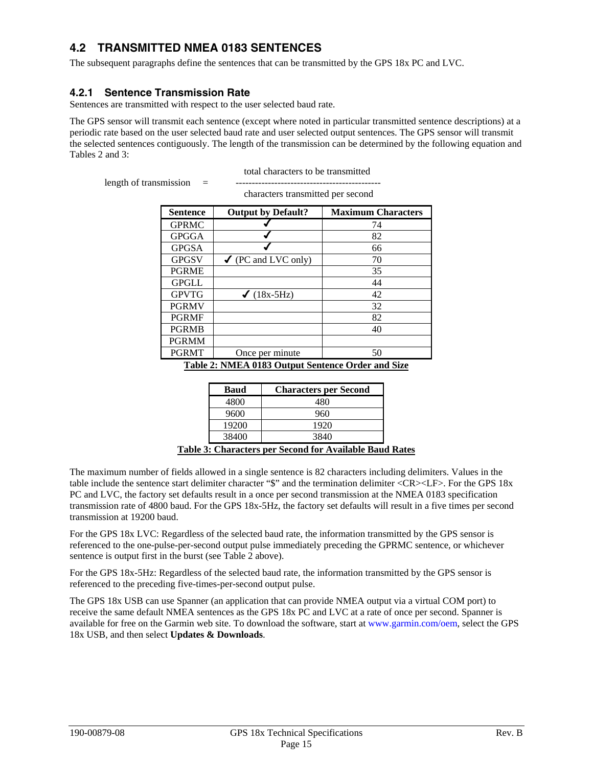# <span id="page-18-0"></span>**4.2 TRANSMITTED NMEA 0183 SENTENCES**

The subsequent paragraphs define the sentences that can be transmitted by the GPS 18x PC and LVC.

## **4.2.1 Sentence Transmission Rate**

Sentences are transmitted with respect to the user selected baud rate.

The GPS sensor will transmit each sentence (except where noted in particular transmitted sentence descriptions) at a periodic rate based on the user selected baud rate and user selected output sentences. The GPS sensor will transmit the selected sentences contiguously. The length of the transmission can be determined by the following equation and Tables 2 and 3:

total characters to be transmitted

length of transmission = ---------------------------------------------

characters transmitted per second

| <b>Sentence</b> | <b>Output by Default?</b>      | <b>Maximum Characters</b> |
|-----------------|--------------------------------|---------------------------|
| <b>GPRMC</b>    |                                | 74                        |
| <b>GPGGA</b>    |                                | 82                        |
| <b>GPGSA</b>    |                                | 66                        |
| <b>GPGSV</b>    | $\checkmark$ (PC and LVC only) | 70                        |
| <b>PGRME</b>    |                                | 35                        |
| <b>GPGLL</b>    |                                | 44                        |
| <b>GPVTG</b>    | $\checkmark$ (18x-5Hz)         | 42                        |
| <b>PGRMV</b>    |                                | 32                        |
| <b>PGRMF</b>    |                                | 82                        |
| <b>PGRMB</b>    |                                | 40                        |
| <b>PGRMM</b>    |                                |                           |
| <b>PGRMT</b>    | Once per minute                | 50                        |

**Table 2: NMEA 0183 Output Sentence Order and Size**

|        | <b>Baud</b>   | <b>Characters per Second</b>                                     |
|--------|---------------|------------------------------------------------------------------|
|        | 4800          |                                                                  |
|        | 9600          | 960                                                              |
|        | 19200         | 1920                                                             |
|        | 38400         | 3840                                                             |
| $\sim$ | $\sim$<br>. . | $\sim$<br>$\mathbf{r}$<br>. .<br>. .<br>$\overline{\phantom{a}}$ |

**Table 3: Characters per Second for Available Baud Rates**

The maximum number of fields allowed in a single sentence is 82 characters including delimiters. Values in the table include the sentence start delimiter character "\$" and the termination delimiter <CR><LF>. For the GPS 18x PC and LVC, the factory set defaults result in a once per second transmission at the NMEA 0183 specification transmission rate of 4800 baud. For the GPS 18x-5Hz, the factory set defaults will result in a five times per second transmission at 19200 baud.

For the GPS 18x LVC: Regardless of the selected baud rate, the information transmitted by the GPS sensor is referenced to the one-pulse-per-second output pulse immediately preceding the GPRMC sentence, or whichever sentence is output first in the burst (see Table 2 above).

For the GPS 18x-5Hz: Regardless of the selected baud rate, the information transmitted by the GPS sensor is referenced to the preceding five-times-per-second output pulse.

The GPS 18x USB can use Spanner (an application that can provide NMEA output via a virtual COM port) to receive the same default NMEA sentences as the GPS 18x PC and LVC at a rate of once per second. Spanner is available for free on the Garmin web site. To download the software, start at [www.garmin.com/oem,](http://www.garmin.com/oem) select the GPS 18x USB, and then select **Updates & Downloads**.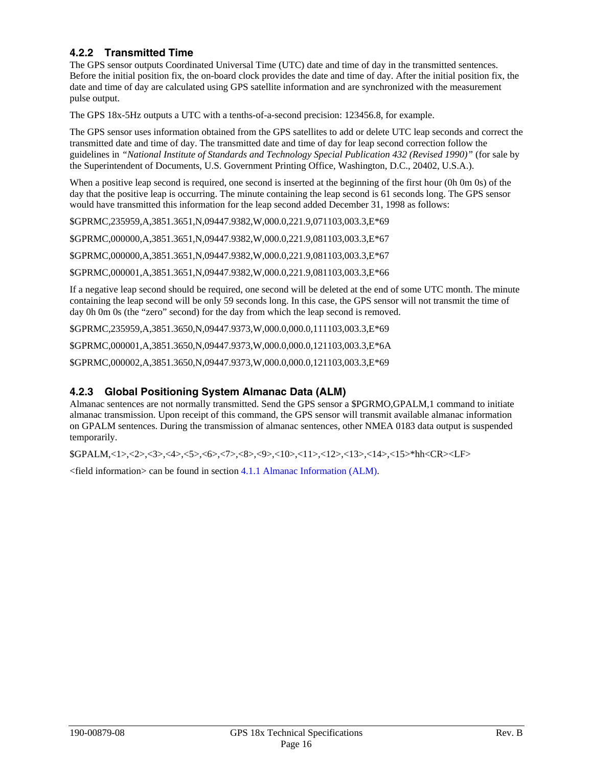## <span id="page-19-0"></span>**4.2.2 Transmitted Time**

The GPS sensor outputs Coordinated Universal Time (UTC) date and time of day in the transmitted sentences. Before the initial position fix, the on-board clock provides the date and time of day. After the initial position fix, the date and time of day are calculated using GPS satellite information and are synchronized with the measurement pulse output.

The GPS 18x-5Hz outputs a UTC with a tenths-of-a-second precision: 123456.8, for example.

The GPS sensor uses information obtained from the GPS satellites to add or delete UTC leap seconds and correct the transmitted date and time of day. The transmitted date and time of day for leap second correction follow the guidelines in *"National Institute of Standards and Technology Special Publication 432 (Revised 1990)"* (for sale by the Superintendent of Documents, U.S. Government Printing Office, Washington, D.C., 20402, U.S.A.).

When a positive leap second is required, one second is inserted at the beginning of the first hour (0h 0m 0s) of the day that the positive leap is occurring. The minute containing the leap second is 61 seconds long. The GPS sensor would have transmitted this information for the leap second added December 31, 1998 as follows:

\$GPRMC,235959,A,3851.3651,N,09447.9382,W,000.0,221.9,071103,003.3,E\*69

\$GPRMC,000000,A,3851.3651,N,09447.9382,W,000.0,221.9,081103,003.3,E\*67

\$GPRMC,000000,A,3851.3651,N,09447.9382,W,000.0,221.9,081103,003.3,E\*67

\$GPRMC,000001,A,3851.3651,N,09447.9382,W,000.0,221.9,081103,003.3,E\*66

If a negative leap second should be required, one second will be deleted at the end of some UTC month. The minute containing the leap second will be only 59 seconds long. In this case, the GPS sensor will not transmit the time of day 0h 0m 0s (the "zero" second) for the day from which the leap second is removed.

\$GPRMC,235959,A,3851.3650,N,09447.9373,W,000.0,000.0,111103,003.3,E\*69

\$GPRMC,000001,A,3851.3650,N,09447.9373,W,000.0,000.0,121103,003.3,E\*6A

\$GPRMC,000002,A,3851.3650,N,09447.9373,W,000.0,000.0,121103,003.3,E\*69

#### **4.2.3 Global Positioning System Almanac Data (ALM)**

Almanac sentences are not normally transmitted. Send the GPS sensor a \$PGRMO,GPALM,1 command to initiate almanac transmission. Upon receipt of this command, the GPS sensor will transmit available almanac information on GPALM sentences. During the transmission of almanac sentences, other NMEA 0183 data output is suspended temporarily.

\$GPALM,<1>,<2>,<3>,<4>,<5>,<6>,<7>,<8>,<9>,<10>,<11>,<12>,<13>,<14>,<15>\*hh<CR><LF>

<field information> can be found in [section 4.1.1 Almanac Information \(ALM\)](#page-15-0).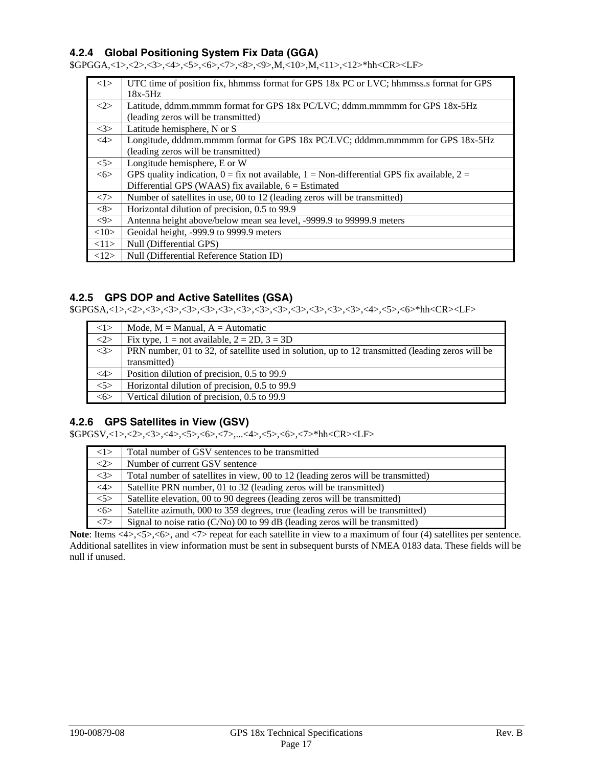## <span id="page-20-0"></span>**4.2.4 Global Positioning System Fix Data (GGA)**

\$GPGGA,<1>,<2>,<3>,<4>,<5>,<6>,<7>,<8>,<9>,M,<10>,M,<11>,<12>\*hh<CR><LF>

| <1>                 | UTC time of position fix, hhmmss format for GPS 18x PC or LVC; hhmmss.s format for GPS                 |
|---------------------|--------------------------------------------------------------------------------------------------------|
|                     | $18x-5Hz$                                                                                              |
| <2>                 | Latitude, ddmm.mmmm format for GPS 18x PC/LVC; ddmm.mmmmm for GPS 18x-5Hz                              |
|                     | (leading zeros will be transmitted)                                                                    |
| <3>                 | Latitude hemisphere, N or S                                                                            |
| $\langle 4 \rangle$ | Longitude, dddmm.mmmm format for GPS 18x PC/LVC; dddmm.mmmmm for GPS 18x-5Hz                           |
|                     | (leading zeros will be transmitted)                                                                    |
| 5>                  | Longitude hemisphere, E or W                                                                           |
| 55                  | GPS quality indication, $0 = f$ is not available, $1 = \text{Non-differential GPS fix available}, 2 =$ |
|                     | Differential GPS (WAAS) fix available, $6 =$ Estimated                                                 |
| <7>                 | Number of satellites in use, 00 to 12 (leading zeros will be transmitted)                              |
| <8>                 | Horizontal dilution of precision, 0.5 to 99.9                                                          |
| $< \!\!9 >$         | Antenna height above/below mean sea level, -9999.9 to 99999.9 meters                                   |
| <10>                | Geoidal height, -999.9 to 9999.9 meters                                                                |
| <11>                | Null (Differential GPS)                                                                                |
| <12>                | Null (Differential Reference Station ID)                                                               |

#### **4.2.5 GPS DOP and Active Satellites (GSA)**

\$GPGSA,<1>,<2>,<3>,<3>,<3>,<3>,<3>,<3>,<3>,<3>,<3>,<3>,<3>,<3>,<4>,<5>,<6>\*hh<CR><LF>

| <1>    | Mode, $M =$ Manual, $A =$ Automatic                                                              |
|--------|--------------------------------------------------------------------------------------------------|
| <2>    | Fix type, $1 = not available$ , $2 = 2D$ , $3 = 3D$                                              |
| <3>    | PRN number, 01 to 32, of satellite used in solution, up to 12 transmitted (leading zeros will be |
|        | transmitted)                                                                                     |
| 4>     | Position dilution of precision, 0.5 to 99.9                                                      |
| $<$ 5> | Horizontal dilution of precision, 0.5 to 99.9                                                    |
| <6>    | Vertical dilution of precision, 0.5 to 99.9                                                      |

#### **4.2.6 GPS Satellites in View (GSV)**

\$GPGSV,<1>,<2>,<3>,<4>,<5>,<6>,<7>,...<4>,<5>,<6>,<7>\*hh<CR><LF>

| <1>    | Total number of GSV sentences to be transmitted                                  |
|--------|----------------------------------------------------------------------------------|
| $<$ 2> | Number of current GSV sentence                                                   |
| <3>    | Total number of satellites in view, 00 to 12 (leading zeros will be transmitted) |
| $<$ 4> | Satellite PRN number, 01 to 32 (leading zeros will be transmitted)               |
| 5>     | Satellite elevation, 00 to 90 degrees (leading zeros will be transmitted)        |
| <6>    | Satellite azimuth, 000 to 359 degrees, true (leading zeros will be transmitted)  |
| <7>    | Signal to noise ratio $(C/N0)$ 00 to 99 dB (leading zeros will be transmitted)   |

**Note**: Items <4>,<5>,<6>, and <7> repeat for each satellite in view to a maximum of four (4) satellites per sentence. Additional satellites in view information must be sent in subsequent bursts of NMEA 0183 data. These fields will be null if unused.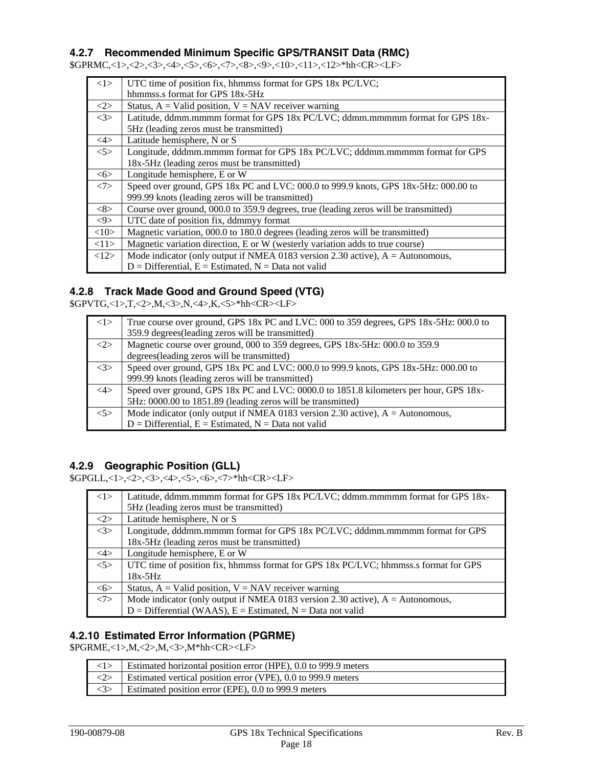## <span id="page-21-0"></span>**4.2.7 Recommended Minimum Specific GPS/TRANSIT Data (RMC)**

\$GPRMC,<1>,<2>,<3>,<4>,<5>,<6>,<7>,<8>,<9>,<10>,<11>,<12>\*hh<CR><LF>

| <1>                 | UTC time of position fix, hhmmss format for GPS 18x PC/LVC;                          |  |
|---------------------|--------------------------------------------------------------------------------------|--|
|                     | hhmmss.s format for GPS 18x-5Hz                                                      |  |
| <2>                 | Status, $A =$ Valid position, $V =$ NAV receiver warning                             |  |
| <3>                 | Latitude, ddmm.mmmm format for GPS 18x PC/LVC; ddmm.mmmmm format for GPS 18x-        |  |
|                     | 5Hz (leading zeros must be transmitted)                                              |  |
| $\langle 4 \rangle$ | Latitude hemisphere, N or S                                                          |  |
| 5                   | Longitude, dddmm.mmmm format for GPS 18x PC/LVC; dddmm.mmmmm format for GPS          |  |
|                     | 18x-5Hz (leading zeros must be transmitted)                                          |  |
| 55                  | Longitude hemisphere, E or W                                                         |  |
| <7>                 | Speed over ground, GPS 18x PC and LVC: 000.0 to 999.9 knots, GPS 18x-5Hz: 000.00 to  |  |
|                     | 999.99 knots (leading zeros will be transmitted)                                     |  |
| <8>                 | Course over ground, 000.0 to 359.9 degrees, true (leading zeros will be transmitted) |  |
| $<\!\!9\!\!>$       | UTC date of position fix, ddmmyy format                                              |  |
| <10>                | Magnetic variation, 000.0 to 180.0 degrees (leading zeros will be transmitted)       |  |
| <11>                | Magnetic variation direction, E or W (westerly variation adds to true course)        |  |
| <12>                | Mode indicator (only output if NMEA 0183 version 2.30 active), $A =$ Autonomous,     |  |
|                     | $D =$ Differential, $E =$ Estimated, $N =$ Data not valid                            |  |

#### **4.2.8 Track Made Good and Ground Speed (VTG)**

\$GPVTG,<1>,T,<2>,M,<3>,N,<4>,K,<5>\*hh<CR><LF>

| <1>    | True course over ground, GPS 18x PC and LVC: 000 to 359 degrees, GPS 18x-5Hz: 000.0 to |  |
|--------|----------------------------------------------------------------------------------------|--|
|        | 359.9 degrees (leading zeros will be transmitted)                                      |  |
| <2>    | Magnetic course over ground, 000 to 359 degrees, GPS 18x-5Hz: 000.0 to 359.9           |  |
|        | degrees (leading zeros will be transmitted)                                            |  |
| <3>    | Speed over ground, GPS 18x PC and LVC: 000.0 to 999.9 knots, GPS 18x-5Hz: 000.00 to    |  |
|        | 999.99 knots (leading zeros will be transmitted)                                       |  |
| $<$ 4> | Speed over ground, GPS 18x PC and LVC: 0000.0 to 1851.8 kilometers per hour, GPS 18x-  |  |
|        | 5Hz: 0000.00 to 1851.89 (leading zeros will be transmitted)                            |  |
| < 5>   | Mode indicator (only output if NMEA 0183 version 2.30 active), $A =$ Autonomous,       |  |
|        | $D =$ Differential, $E =$ Estimated, $N =$ Data not valid                              |  |

## **4.2.9 Geographic Position (GLL)**

\$GPGLL,<1>,<2>,<3>,<4>,<5>,<6>,<7>\*hh<CR><LF>

| <1>    | Latitude, ddmm.mmmm format for GPS 18x PC/LVC; ddmm.mmmmm format for GPS 18x-       |
|--------|-------------------------------------------------------------------------------------|
|        | 5Hz (leading zeros must be transmitted)                                             |
| <2>    | Latitude hemisphere, N or S                                                         |
| <3>    | Longitude, dddmm.mmmm format for GPS 18x PC/LVC; dddmm.mmmmm format for GPS         |
|        | 18x-5Hz (leading zeros must be transmitted)                                         |
| $<$ 4> | Longitude hemisphere, E or W                                                        |
| $<$ 5> | UTC time of position fix, hhmmss format for GPS 18x PC/LVC; hhmmss.s format for GPS |
|        | $18x-5Hz$                                                                           |
| <6>    | Status, $A =$ Valid position, $V =$ NAV receiver warning                            |
| <7>    | Mode indicator (only output if NMEA 0183 version 2.30 active), $A =$ Autonomous,    |
|        | $D =$ Differential (WAAS), $E =$ Estimated, $N =$ Data not valid                    |

## **4.2.10 Estimated Error Information (PGRME)**

\$PGRME,<1>,M,<2>,M,<3>,M\*hh<CR><LF>

|                     | Estimated horizontal position error (HPE), 0.0 to 999.9 meters                     |
|---------------------|------------------------------------------------------------------------------------|
|                     | $\langle 2 \rangle$   Estimated vertical position error (VPE), 0.0 to 999.9 meters |
| $\langle 3 \rangle$ | Estimated position error (EPE), 0.0 to 999.9 meters                                |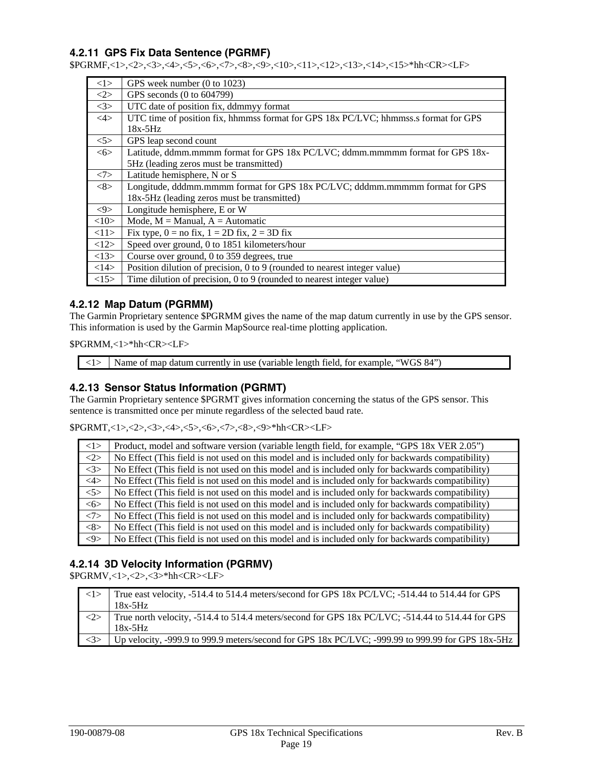## <span id="page-22-0"></span>**4.2.11 GPS Fix Data Sentence (PGRMF)**

\$PGRMF,<1>,<2>,<3>,<4>,<5>,<6>,<7>,<8>,<9>,<10>,<11>,<12>,<13>,<14>,<15>\*hh<CR><LF>

| <1>           | GPS week number (0 to 1023)                                                         |
|---------------|-------------------------------------------------------------------------------------|
| <2>           | GPS seconds (0 to 604799)                                                           |
| <3>           | UTC date of position fix, ddmmyy format                                             |
| $<\!\!4\!\!>$ | UTC time of position fix, hhmmss format for GPS 18x PC/LVC; hhmmss.s format for GPS |
|               | $18x-5Hz$                                                                           |
| 5             | GPS leap second count                                                               |
| 55            | Latitude, ddmm.mmmm format for GPS 18x PC/LVC; ddmm.mmmmm format for GPS 18x-       |
|               | 5Hz (leading zeros must be transmitted)                                             |
| <7>           | Latitude hemisphere, N or S                                                         |
| <8>           | Longitude, dddmm.mmmm format for GPS 18x PC/LVC; dddmm.mmmmm format for GPS         |
|               | 18x-5Hz (leading zeros must be transmitted)                                         |
| $< \theta$    | Longitude hemisphere, E or W                                                        |
| <10>          | Mode, $M =$ Manual, $A =$ Automatic                                                 |
| <11>          | Fix type, $0 =$ no fix, $1 = 2D$ fix, $2 = 3D$ fix                                  |
| <12>          | Speed over ground, 0 to 1851 kilometers/hour                                        |
| <13>          | Course over ground, 0 to 359 degrees, true                                          |
| <14>          | Position dilution of precision, 0 to 9 (rounded to nearest integer value)           |
| <15>          | Time dilution of precision, 0 to 9 (rounded to nearest integer value)               |

#### **4.2.12 Map Datum (PGRMM)**

The Garmin Proprietary sentence \$PGRMM gives the name of the map datum currently in use by the GPS sensor. This information is used by the Garmin MapSource real-time plotting application.

\$PGRMM,<1>\*hh<CR><LF>

 $\langle 1 \rangle$  Name of map datum currently in use (variable length field, for example, "WGS 84")

### **4.2.13 Sensor Status Information (PGRMT)**

The Garmin Proprietary sentence \$PGRMT gives information concerning the status of the GPS sensor. This sentence is transmitted once per minute regardless of the selected baud rate.

\$PGRMT,<1>,<2>,<3>,<4>,<5>,<6>,<7>,<8>,<9>\*hh<CR><LF>

| 1>                  | Product, model and software version (variable length field, for example, "GPS 18x VER 2.05")      |
|---------------------|---------------------------------------------------------------------------------------------------|
| $\langle 2 \rangle$ | No Effect (This field is not used on this model and is included only for backwards compatibility) |
| <3>                 | No Effect (This field is not used on this model and is included only for backwards compatibility) |
| $\langle 4 \rangle$ | No Effect (This field is not used on this model and is included only for backwards compatibility) |
| 5>                  | No Effect (This field is not used on this model and is included only for backwards compatibility) |
| 55                  | No Effect (This field is not used on this model and is included only for backwards compatibility) |
| <7>                 | No Effect (This field is not used on this model and is included only for backwards compatibility) |
| $<\!\!8\!\!>$       | No Effect (This field is not used on this model and is included only for backwards compatibility) |
| $< \!\!9 >$         | No Effect (This field is not used on this model and is included only for backwards compatibility) |

## **4.2.14 3D Velocity Information (PGRMV)**

\$PGRMV,<1>,<2>,<3>\*hh<CR><LF>

| $\langle$ 1>        | True east velocity, -514.4 to 514.4 meters/second for GPS 18x PC/LVC; -514.44 to 514.44 for GPS  |
|---------------------|--------------------------------------------------------------------------------------------------|
|                     | $18x-5Hz$                                                                                        |
| $\langle 2 \rangle$ | True north velocity, -514.4 to 514.4 meters/second for GPS 18x PC/LVC; -514.44 to 514.44 for GPS |
|                     | $18x-5Hz$                                                                                        |
| $\langle 3 \rangle$ | Up velocity, -999.9 to 999.9 meters/second for GPS 18x PC/LVC; -999.99 to 999.99 for GPS 18x-5Hz |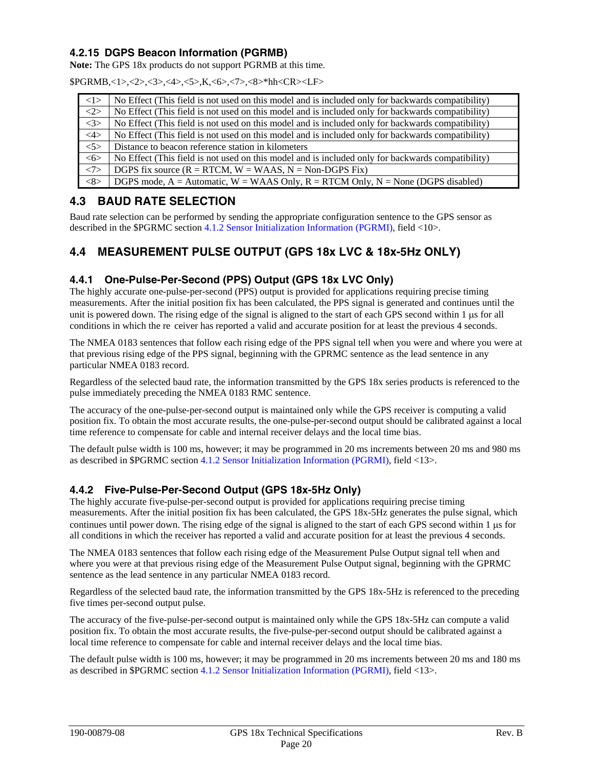## <span id="page-23-0"></span>**4.2.15 DGPS Beacon Information (PGRMB)**

**Note:** The GPS 18x products do not support PGRMB at this time.

\$PGRMB,<1>,<2>,<3>,<4>,<5>,K,<6>,<7>,<8>\*hh<CR><LF>

| <1>           | No Effect (This field is not used on this model and is included only for backwards compatibility) |
|---------------|---------------------------------------------------------------------------------------------------|
| <2>           | No Effect (This field is not used on this model and is included only for backwards compatibility) |
| <3>           | No Effect (This field is not used on this model and is included only for backwards compatibility) |
| $<$ 4>        | No Effect (This field is not used on this model and is included only for backwards compatibility) |
| $<$ 5>        | Distance to beacon reference station in kilometers                                                |
| 55            | No Effect (This field is not used on this model and is included only for backwards compatibility) |
| <7>           | DGPS fix source $(R = RTCM, W = WAAS, N = Non-DGPS Fix)$                                          |
| $<\!\!8\!\!>$ | DGPS mode, $A =$ Automatic, $W = WAAS$ Only, $R = RTCM$ Only, $N =$ None (DGPS disabled)          |

## **4.3 BAUD RATE SELECTION**

Baud rate selection can be performed by sending the appropriate configuration sentence to the GPS sensor as described in the \$PGRMC [section 4.1.2 Sensor Initialization Information \(PGRMI\),](#page-16-0) field <10>.

# **4.4 MEASUREMENT PULSE OUTPUT (GPS 18x LVC & 18x-5Hz ONLY)**

#### **4.4.1 One-Pulse-Per-Second (PPS) Output (GPS 18x LVC Only)**

The highly accurate one-pulse-per-second (PPS) output is provided for applications requiring precise timing measurements. After the initial position fix has been calculated, the PPS signal is generated and continues until the unit is powered down. The rising edge of the signal is aligned to the start of each GPS second within 1 μs for all conditions in which the re ceiver has reported a valid and accurate position for at least the previous 4 seconds.

The NMEA 0183 sentences that follow each rising edge of the PPS signal tell when you were and where you were at that previous rising edge of the PPS signal, beginning with the GPRMC sentence as the lead sentence in any particular NMEA 0183 record.

Regardless of the selected baud rate, the information transmitted by the GPS 18x series products is referenced to the pulse immediately preceding the NMEA 0183 RMC sentence.

The accuracy of the one-pulse-per-second output is maintained only while the GPS receiver is computing a valid position fix. To obtain the most accurate results, the one-pulse-per-second output should be calibrated against a local time reference to compensate for cable and internal receiver delays and the local time bias.

The default pulse width is 100 ms, however; it may be programmed in 20 ms increments between 20 ms and 980 ms as described in \$PGRMC [section 4.1.2 Sensor Initialization Information \(PGRMI\),](#page-16-0) field <13>.

## **4.4.2 Five-Pulse-Per-Second Output (GPS 18x-5Hz Only)**

The highly accurate five-pulse-per-second output is provided for applications requiring precise timing measurements. After the initial position fix has been calculated, the GPS 18x-5Hz generates the pulse signal, which continues until power down. The rising edge of the signal is aligned to the start of each GPS second within 1 μs for all conditions in which the receiver has reported a valid and accurate position for at least the previous 4 seconds.

The NMEA 0183 sentences that follow each rising edge of the Measurement Pulse Output signal tell when and where you were at that previous rising edge of the Measurement Pulse Output signal, beginning with the GPRMC sentence as the lead sentence in any particular NMEA 0183 record.

Regardless of the selected baud rate, the information transmitted by the GPS 18x-5Hz is referenced to the preceding five times per-second output pulse.

The accuracy of the five-pulse-per-second output is maintained only while the GPS 18x-5Hz can compute a valid position fix. To obtain the most accurate results, the five-pulse-per-second output should be calibrated against a local time reference to compensate for cable and internal receiver delays and the local time bias.

The default pulse width is 100 ms, however; it may be programmed in 20 ms increments between 20 ms and 180 ms as described in \$PGRMC [section 4.1.2 Sensor Initialization Information \(PGRMI\),](#page-16-0) field <13>.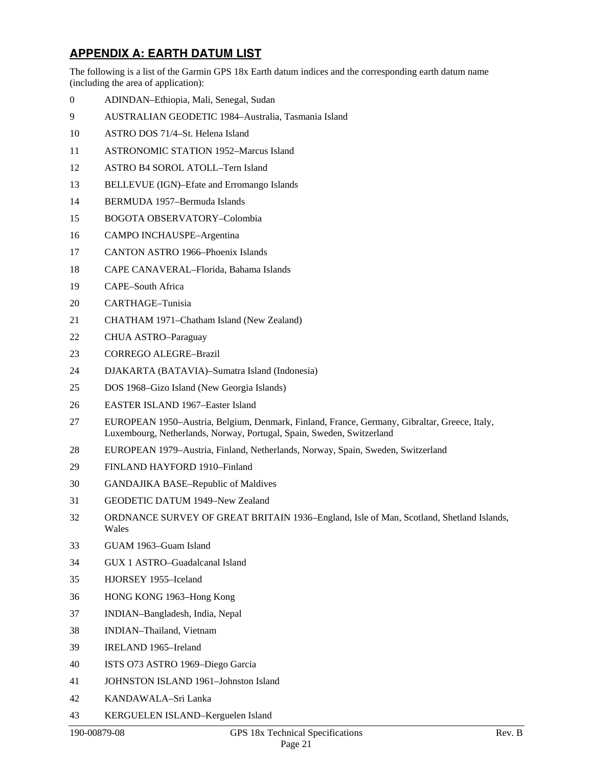# <span id="page-24-0"></span>**APPENDIX A: EARTH DATUM LIST**

The following is a list of the Garmin GPS 18x Earth datum indices and the corresponding earth datum name (including the area of application):

- 0 ADINDAN–Ethiopia, Mali, Senegal, Sudan
- 9 AUSTRALIAN GEODETIC 1984–Australia, Tasmania Island
- 10 ASTRO DOS 71/4–St. Helena Island
- 11 ASTRONOMIC STATION 1952–Marcus Island
- 12 ASTRO B4 SOROL ATOLL–Tern Island
- 13 BELLEVUE (IGN)–Efate and Erromango Islands
- 14 BERMUDA 1957–Bermuda Islands
- 15 BOGOTA OBSERVATORY–Colombia
- 16 CAMPO INCHAUSPE–Argentina
- 17 CANTON ASTRO 1966–Phoenix Islands
- 18 CAPE CANAVERAL–Florida, Bahama Islands
- 19 CAPE–South Africa
- 20 CARTHAGE–Tunisia
- 21 CHATHAM 1971–Chatham Island (New Zealand)
- 22 CHUA ASTRO–Paraguay
- 23 CORREGO ALEGRE–Brazil
- 24 DJAKARTA (BATAVIA)–Sumatra Island (Indonesia)
- 25 DOS 1968–Gizo Island (New Georgia Islands)
- 26 EASTER ISLAND 1967–Easter Island
- 27 EUROPEAN 1950–Austria, Belgium, Denmark, Finland, France, Germany, Gibraltar, Greece, Italy, Luxembourg, Netherlands, Norway, Portugal, Spain, Sweden, Switzerland
- 28 EUROPEAN 1979–Austria, Finland, Netherlands, Norway, Spain, Sweden, Switzerland
- 29 FINLAND HAYFORD 1910–Finland
- 30 GANDAJIKA BASE–Republic of Maldives
- 31 GEODETIC DATUM 1949–New Zealand
- 32 ORDNANCE SURVEY OF GREAT BRITAIN 1936–England, Isle of Man, Scotland, Shetland Islands, Wales
- 33 GUAM 1963–Guam Island
- 34 GUX 1 ASTRO–Guadalcanal Island
- 35 HJORSEY 1955–Iceland
- 36 HONG KONG 1963–Hong Kong
- 37 INDIAN–Bangladesh, India, Nepal
- 38 INDIAN–Thailand, Vietnam
- 39 IRELAND 1965–Ireland
- 40 ISTS O73 ASTRO 1969–Diego Garcia
- 41 JOHNSTON ISLAND 1961–Johnston Island
- <span id="page-24-1"></span>42 KANDAWALA–Sri Lanka
- 43 KERGUELEN ISLAND–Kerguelen Island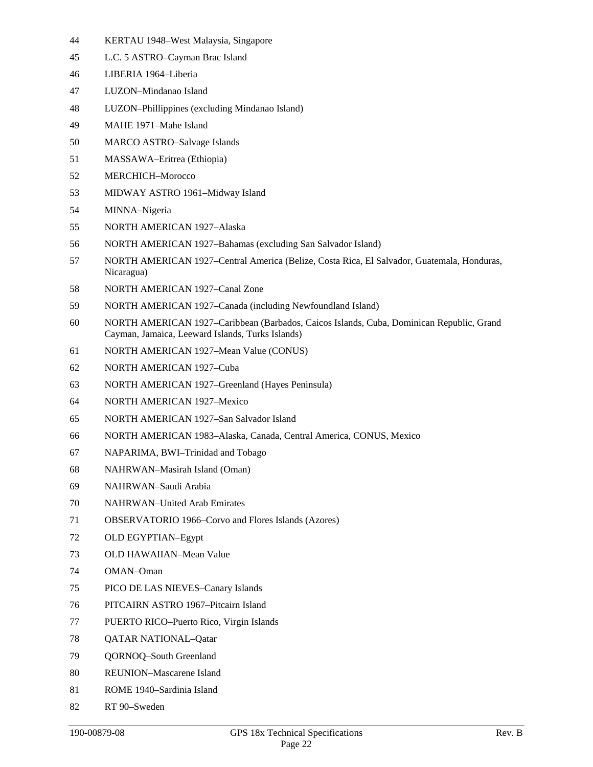- 44 KERTAU 1948–West Malaysia, Singapore
- 45 L.C. 5 ASTRO–Cayman Brac Island
- 46 LIBERIA 1964–Liberia
- 47 LUZON–Mindanao Island
- 48 LUZON–Phillippines (excluding Mindanao Island)
- 49 MAHE 1971–Mahe Island
- 50 MARCO ASTRO–Salvage Islands
- 51 MASSAWA–Eritrea (Ethiopia)
- 52 MERCHICH–Morocco
- 53 MIDWAY ASTRO 1961–Midway Island
- 54 MINNA–Nigeria
- 55 NORTH AMERICAN 1927–Alaska
- 56 NORTH AMERICAN 1927–Bahamas (excluding San Salvador Island)
- 57 NORTH AMERICAN 1927–Central America (Belize, Costa Rica, El Salvador, Guatemala, Honduras, Nicaragua)
- 58 NORTH AMERICAN 1927–Canal Zone
- 59 NORTH AMERICAN 1927–Canada (including Newfoundland Island)
- 60 NORTH AMERICAN 1927–Caribbean (Barbados, Caicos Islands, Cuba, Dominican Republic, Grand Cayman, Jamaica, Leeward Islands, Turks Islands)
- 61 NORTH AMERICAN 1927–Mean Value (CONUS)
- 62 NORTH AMERICAN 1927–Cuba
- 63 NORTH AMERICAN 1927–Greenland (Hayes Peninsula)
- 64 NORTH AMERICAN 1927–Mexico
- 65 NORTH AMERICAN 1927–San Salvador Island
- 66 NORTH AMERICAN 1983–Alaska, Canada, Central America, CONUS, Mexico
- 67 NAPARIMA, BWI–Trinidad and Tobago
- 68 NAHRWAN–Masirah Island (Oman)
- 69 NAHRWAN–Saudi Arabia
- 70 NAHRWAN–United Arab Emirates
- 71 OBSERVATORIO 1966–Corvo and Flores Islands (Azores)
- 72 OLD EGYPTIAN–Egypt
- 73 OLD HAWAIIAN–Mean Value
- 74 OMAN–Oman
- 75 PICO DE LAS NIEVES–Canary Islands
- 76 PITCAIRN ASTRO 1967–Pitcairn Island
- 77 PUERTO RICO–Puerto Rico, Virgin Islands
- 78 QATAR NATIONAL–Qatar
- 79 QORNOQ–South Greenland
- 80 REUNION–Mascarene Island
- 81 ROME 1940–Sardinia Island
- 82 RT 90–Sweden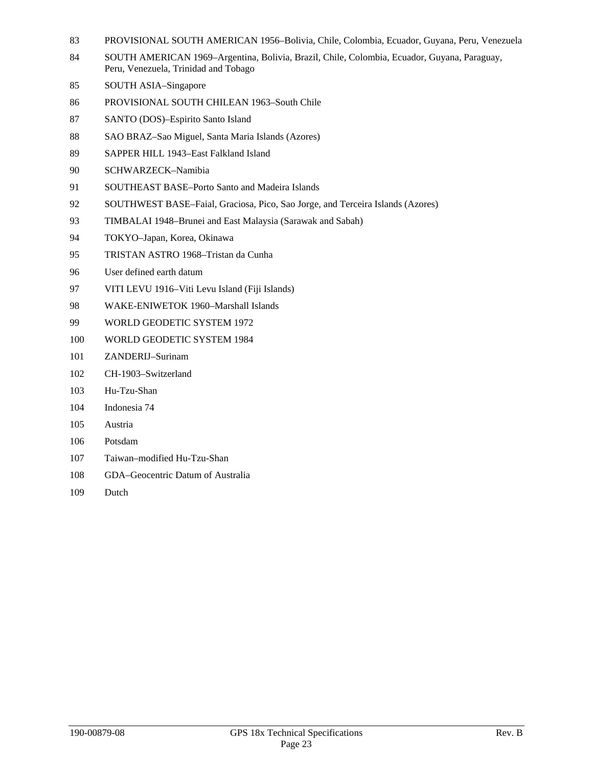- 83 PROVISIONAL SOUTH AMERICAN 1956–Bolivia, Chile, Colombia, Ecuador, Guyana, Peru, Venezuela
- 84 SOUTH AMERICAN 1969–Argentina, Bolivia, Brazil, Chile, Colombia, Ecuador, Guyana, Paraguay, Peru, Venezuela, Trinidad and Tobago
- 85 SOUTH ASIA–Singapore
- 86 PROVISIONAL SOUTH CHILEAN 1963–South Chile
- 87 SANTO (DOS)–Espirito Santo Island
- 88 SAO BRAZ–Sao Miguel, Santa Maria Islands (Azores)
- 89 SAPPER HILL 1943–East Falkland Island
- 90 SCHWARZECK–Namibia
- 91 SOUTHEAST BASE–Porto Santo and Madeira Islands
- 92 SOUTHWEST BASE–Faial, Graciosa, Pico, Sao Jorge, and Terceira Islands (Azores)
- 93 TIMBALAI 1948–Brunei and East Malaysia (Sarawak and Sabah)
- 94 TOKYO–Japan, Korea, Okinawa
- 95 TRISTAN ASTRO 1968–Tristan da Cunha
- 96 User defined earth datum
- 97 VITI LEVU 1916–Viti Levu Island (Fiji Islands)
- 98 WAKE-ENIWETOK 1960–Marshall Islands
- 99 WORLD GEODETIC SYSTEM 1972
- 100 WORLD GEODETIC SYSTEM 1984
- 101 ZANDERIJ–Surinam
- 102 CH-1903–Switzerland
- 103 Hu-Tzu-Shan
- 104 Indonesia 74
- 105 Austria
- 106 Potsdam
- 107 Taiwan–modified Hu-Tzu-Shan
- 108 GDA–Geocentric Datum of Australia
- 109 Dutch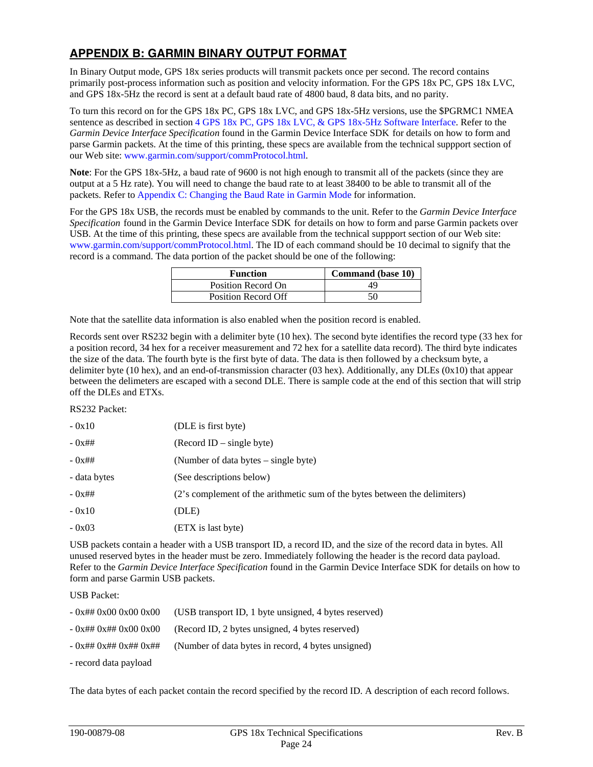# <span id="page-27-0"></span>**APPENDIX B: GARMIN BINARY OUTPUT FORMAT**

In Binary Output mode, GPS 18x series products will transmit packets once per second. The record contains primarily post-process information such as position and velocity information. For the GPS 18x PC, GPS 18x LVC, and GPS 18x-5Hz the record is sent at a default baud rate of 4800 baud, 8 data bits, and no parity.

To turn this record on for the GPS 18x PC, GPS 18x LVC, and GPS 18x-5Hz versions, use the \$PGRMC1 NMEA sentence as described in section [4 GPS 18x PC, GPS 18x LVC, & GPS 18x-5Hz Software Interface.](#page-15-0) Refer to the *Garmin Device Interface Specification* found in the Garmin Device Interface SDK for details on how to form and parse Garmin packets. At the time of this printing, these specs are available from the technical suppport section of our Web site: [www.garmin.com/support/commProtocol.html.](http://www.garmin.com/support/commProtocol.html)

**Note**: For the GPS 18x-5Hz, a baud rate of 9600 is not high enough to transmit all of the packets (since they are output at a 5 Hz rate). You will need to change the baud rate to at least 38400 to be able to transmit all of the packets. Refer to [Appendix C: Changing the Baud Rate in Garmin Mode](#page-30-0) for information.

For the GPS 18x USB, the records must be enabled by commands to the unit. Refer to the *Garmin Device Interface Specification* found in the Garmin Device Interface SDK for details on how to form and parse Garmin packets over USB. At the time of this printing, these specs are available from the technical suppport section of our Web site: [www.garmin.com/support/commProtocol.html](http://www.garmin.com/support/commProtocol.html). The ID of each command should be 10 decimal to signify that the record is a command. The data portion of the packet should be one of the following:

| <b>Function</b>            | Command (base 10) |
|----------------------------|-------------------|
| Position Record On         | 49                |
| <b>Position Record Off</b> | 50                |

Note that the satellite data information is also enabled when the position record is enabled.

Records sent over RS232 begin with a delimiter byte (10 hex). The second byte identifies the record type (33 hex for a position record, 34 hex for a receiver measurement and 72 hex for a satellite data record). The third byte indicates the size of the data. The fourth byte is the first byte of data. The data is then followed by a checksum byte, a delimiter byte (10 hex), and an end-of-transmission character (03 hex). Additionally, any DLEs (0x10) that appear between the delimeters are escaped with a second DLE. There is sample code at the end of this section that will strip off the DLEs and ETXs.

RS232 Packet:

| $-0x10$      | (DLE is first byte)                                                        |
|--------------|----------------------------------------------------------------------------|
| $-0x$ ##     | $(Record ID - single byte)$                                                |
| $-0x$ ##     | (Number of data bytes – single byte)                                       |
| - data bytes | (See descriptions below)                                                   |
| $-0x$ ##     | (2's complement of the arithmetic sum of the bytes between the delimiters) |
| $-0x10$      | (DLE)                                                                      |
| $-0x03$      | (ETX is last byte)                                                         |
|              |                                                                            |

USB packets contain a header with a USB transport ID, a record ID, and the size of the record data in bytes. All unused reserved bytes in the header must be zero. Immediately following the header is the record data payload. Refer to the *Garmin Device Interface Specification* found in the Garmin Device Interface SDK for details on how to form and parse Garmin USB packets.

USB Packet:

| $-0x$ ## 0x00 0x00 0x00 | (USB transport ID, 1 byte unsigned, 4 bytes reserved) |
|-------------------------|-------------------------------------------------------|
| $-0x$ ## 0x## 0x00 0x00 | (Record ID, 2 bytes unsigned, 4 bytes reserved)       |
| $-$ 0x## 0x## 0x## 0x## | (Number of data bytes in record, 4 bytes unsigned)    |
| - record data payload   |                                                       |

The data bytes of each packet contain the record specified by the record ID. A description of each record follows.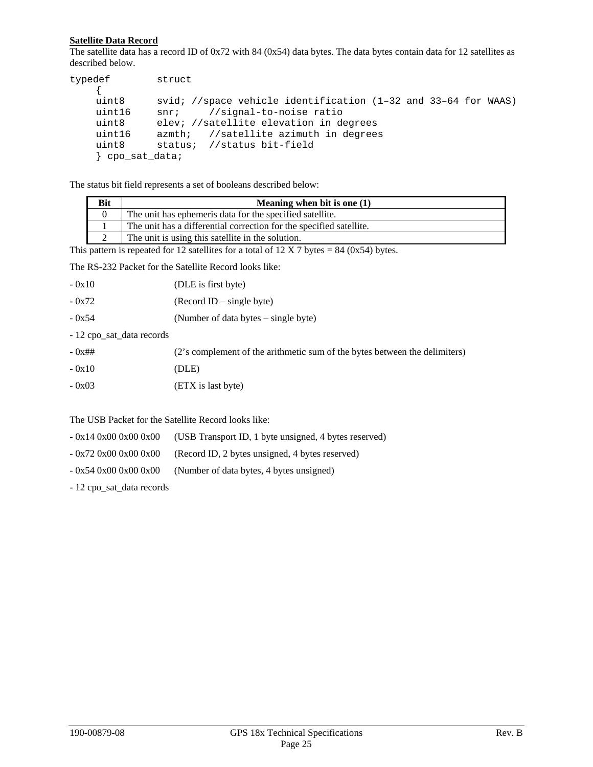## **Satellite Data Record**

The satellite data has a record ID of 0x72 with 84 (0x54) data bytes. The data bytes contain data for 12 satellites as described below.

| typedef       | struct                                                             |
|---------------|--------------------------------------------------------------------|
|               |                                                                    |
| uint8         | svid; //space vehicle identification $(1-32$ and $33-64$ for WAAS) |
| uint16        | //signal-to-noise ratio<br>$snr$ ;                                 |
| uint8         | elev; //satellite elevation in degrees                             |
| uint16        | azmth; //satellite azimuth in degrees                              |
| uint8         | status; //status bit-field                                         |
| cpo sat data; |                                                                    |

The status bit field represents a set of booleans described below:

| Bit | Meaning when bit is one $(1)$                                       |
|-----|---------------------------------------------------------------------|
|     | The unit has ephemeris data for the specified satellite.            |
|     | The unit has a differential correction for the specified satellite. |
|     | The unit is using this satellite in the solution.                   |

This pattern is repeated for 12 satellites for a total of  $12 \text{ X } 7$  bytes = 84 (0x54) bytes.

The RS-232 Packet for the Satellite Record looks like:

| - 0x10 | (DLE is first byte) |
|--------|---------------------|
|--------|---------------------|

| - 0x72 | $(Record ID - single byte)$ |
|--------|-----------------------------|
|--------|-----------------------------|

- 0x54 (Number of data bytes single byte)
- 12 cpo\_sat\_data records

| $-0x$ ## | (2's complement of the arithmetic sum of the bytes between the delimiters) |
|----------|----------------------------------------------------------------------------|
| $-0x10$  | (DLE)                                                                      |
| $-0x03$  | (ETX is last byte)                                                         |

The USB Packet for the Satellite Record looks like:

- 0x14 0x00 0x00 0x00 (USB Transport ID, 1 byte unsigned, 4 bytes reserved)
- 0x72 0x00 0x00 0x00 (Record ID, 2 bytes unsigned, 4 bytes reserved)
- $-0x540x000x000x00$  (Number of data bytes, 4 bytes unsigned)
- 12 cpo\_sat\_data records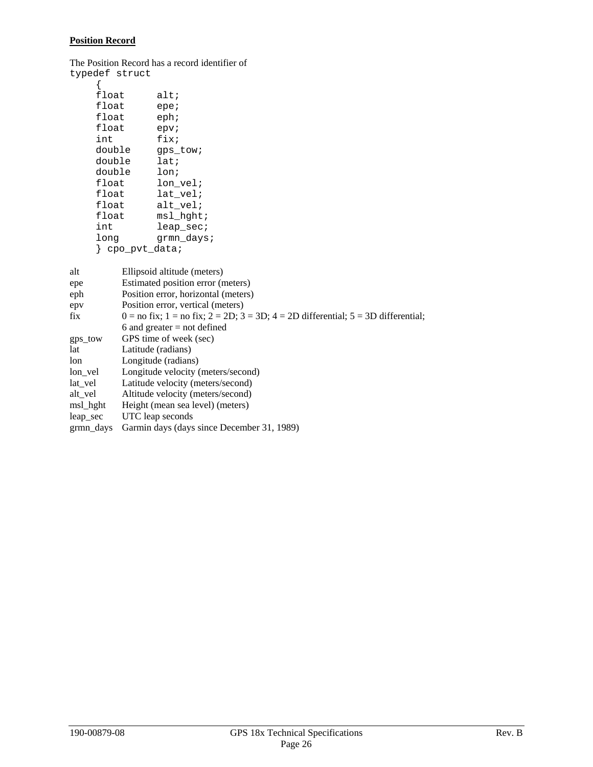#### **Position Record**

The Position Record has a record identifier of

| typedef struct |            |
|----------------|------------|
|                |            |
| float          | alt;       |
| float          | epe;       |
| float          | eph:       |
| float          | epv;       |
| int            | fix;       |
| double         | qps tow;   |
| double         | $1$ at;    |
| double         | lon;       |
| float          | lon vel;   |
| float          | lat vel;   |
| float          | alt vel;   |
| float          | msl hqht;  |
| int            | leap sec;  |
| long           | qrmn_days; |
| cpo pvt data;  |            |

| alt       | Ellipsoid altitude (meters)                                                                     |
|-----------|-------------------------------------------------------------------------------------------------|
| epe       | Estimated position error (meters)                                                               |
| eph       | Position error, horizontal (meters)                                                             |
| epv       | Position error, vertical (meters)                                                               |
| fix       | $0 =$ no fix; $1 =$ no fix; $2 = 2D$ ; $3 = 3D$ ; $4 = 2D$ differential; $5 = 3D$ differential; |
|           | 6 and greater $=$ not defined                                                                   |
| gps_tow   | GPS time of week (sec)                                                                          |
| lat       | Latitude (radians)                                                                              |
| lon       | Longitude (radians)                                                                             |
| lon vel   | Longitude velocity (meters/second)                                                              |
| lat vel   | Latitude velocity (meters/second)                                                               |
| alt vel   | Altitude velocity (meters/second)                                                               |
| msl_hght  | Height (mean sea level) (meters)                                                                |
| leap sec  | UTC leap seconds                                                                                |
| grmn days | Garmin days (days since December 31, 1989)                                                      |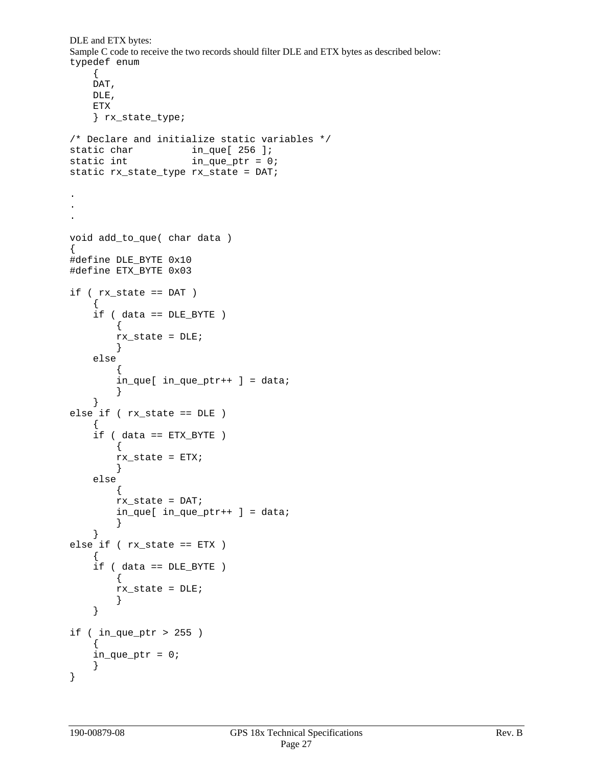```
DLE and ETX bytes: 
Sample C code to receive the two records should filter DLE and ETX bytes as described below: 
typedef enum 
     { 
     DAT, 
     DLE, 
     ETX 
     } rx_state_type; 
/* Declare and initialize static variables */ 
static char in_que[ 256 ];
static int \qquad \qquad in que ptr = 0;
static rx_state_type rx_state = DAT; 
. 
. 
. 
void add_to_que( char data ) 
{ 
#define DLE_BYTE 0x10 
#define ETX_BYTE 0x03 
if ( rx_state == DAT ) 
     { 
     if ( data == DLE_BYTE ) 
          { 
          rx_state = DLE; 
          } 
     else 
\{in\_que[ in\_que\_ptr++ ] = data;
 } 
     } 
else if ( rx_state == DLE ) 
     { 
     if ( data == ETX_BYTE ) 
          { 
          rx_state = ETX; 
          } 
     else 
          { 
          rx_state = DAT; 
         in_que[ in_que_ptr++ ] = data;
          } 
     } 
else if ( rx_state == ETX ) 
\{ if ( data == DLE_BYTE ) 
         { 
          rx_state = DLE; 
          } 
     } 
if ( in_que_ptr > 255 ) 
    \left\{ \right. in_que_ptr = 0; 
     } 
}
```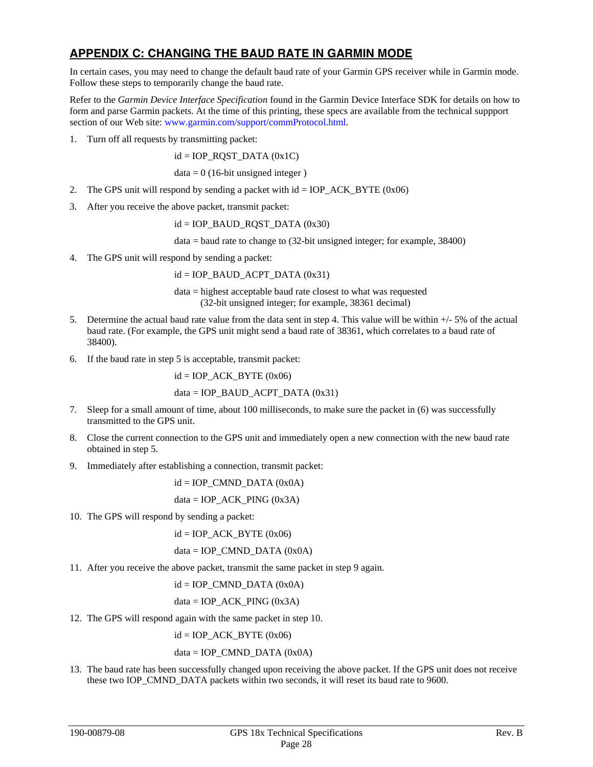## <span id="page-31-0"></span>**APPENDIX C: CHANGING THE BAUD RATE IN GARMIN MODE**

In certain cases, you may need to change the default baud rate of your Garmin GPS receiver while in Garmin mode. Follow these steps to temporarily change the baud rate.

Refer to the *Garmin Device Interface Specification* found in the Garmin Device Interface SDK for details on how to form and parse Garmin packets. At the time of this printing, these specs are available from the technical suppport section of our Web site: [www.garmin.com/support/commProtocol.html](http://www.garmin.com/support/commProtocol.html).

1. Turn off all requests by transmitting packet:

 $id = IOP$  ROST DATA  $(0x1C)$ 

 $data = 0$  (16-bit unsigned integer)

- 2. The GPS unit will respond by sending a packet with  $id = IOP\_ACK\_BYTE (0x06)$
- 3. After you receive the above packet, transmit packet:

 $id = IOP_B AUD_RQST_DATA (0x30)$ 

data = baud rate to change to (32-bit unsigned integer; for example, 38400)

4. The GPS unit will respond by sending a packet:

 $id = IOP$ \_BAUD\_ACPT\_DATA  $(0x31)$ 

data = highest acceptable baud rate closest to what was requested (32-bit unsigned integer; for example, 38361 decimal)

- 5. Determine the actual baud rate value from the data sent in step 4. This value will be within +/- 5% of the actual baud rate. (For example, the GPS unit might send a baud rate of 38361, which correlates to a baud rate of 38400).
- 6. If the baud rate in step 5 is acceptable, transmit packet:

 $id = IOP$  ACK BYTE  $(0x06)$ 

 $data = IOP$ \_BAUD\_ACPT\_DATA (0x31)

- 7. Sleep for a small amount of time, about 100 milliseconds, to make sure the packet in (6) was successfully transmitted to the GPS unit.
- 8. Close the current connection to the GPS unit and immediately open a new connection with the new baud rate obtained in step 5.
- 9. Immediately after establishing a connection, transmit packet:

 $id = IOP$  CMND DATA  $(0x0A)$ 

 $data = IOP\_ACK\_PING (0x3A)$ 

10. The GPS will respond by sending a packet:

 $id = IOP$  ACK BYTE  $(0x06)$ 

 $data = IOP\_CMND\_DATA (0x0A)$ 

11. After you receive the above packet, transmit the same packet in step 9 again.

 $id = IOP$  CMND DATA  $(0x0A)$ 

 $data = IOP\_ACK\_PING (0x3A)$ 

12. The GPS will respond again with the same packet in step 10.

 $id = IOP$  ACK BYTE  $(0x06)$ 

 $data = IOP\_CMND\_DATA (0x0A)$ 

13. The baud rate has been successfully changed upon receiving the above packet. If the GPS unit does not receive these two IOP\_CMND\_DATA packets within two seconds, it will reset its baud rate to 9600.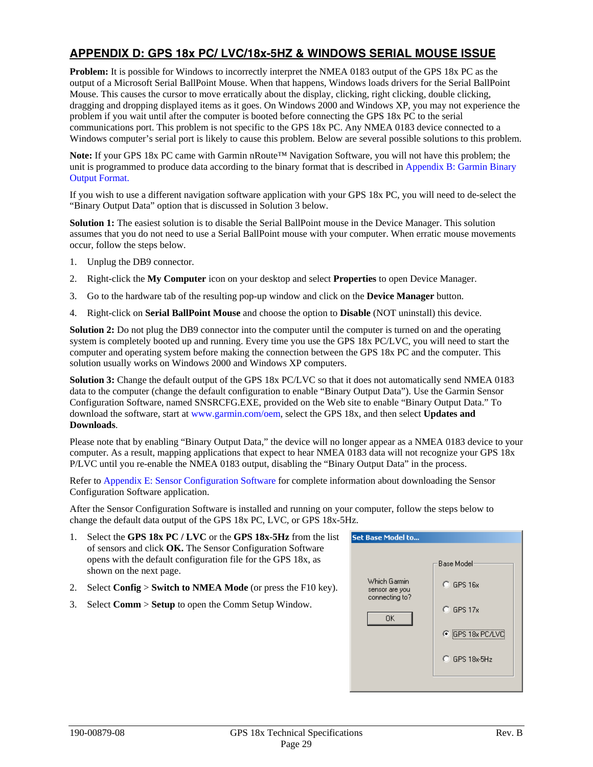# <span id="page-32-0"></span>**APPENDIX D: GPS 18x PC/ LVC/18x-5HZ & WINDOWS SERIAL MOUSE ISSUE**

**Problem:** It is possible for Windows to incorrectly interpret the NMEA 0183 output of the GPS 18x PC as the output of a Microsoft Serial BallPoint Mouse. When that happens, Windows loads drivers for the Serial BallPoint Mouse. This causes the cursor to move erratically about the display, clicking, right clicking, double clicking, dragging and dropping displayed items as it goes. On Windows 2000 and Windows XP, you may not experience the problem if you wait until after the computer is booted before connecting the GPS 18x PC to the serial communications port. This problem is not specific to the GPS 18x PC. Any NMEA 0183 device connected to a Windows computer's serial port is likely to cause this problem. Below are several possible solutions to this problem.

**Note:** If your GPS 18x PC came with Garmin nRoute™ Navigation Software, you will not have this problem; the unit is programmed to produce data according to the binary format that is described i[n Appendix B: Garmin Binary](#page-27-0)  [Output Format](#page-27-0).

If you wish to use a different navigation software application with your GPS 18x PC, you will need to de-select the "Binary Output Data" option that is discussed in Solution 3 below.

**Solution 1:** The easiest solution is to disable the Serial BallPoint mouse in the Device Manager. This solution assumes that you do not need to use a Serial BallPoint mouse with your computer. When erratic mouse movements occur, follow the steps below.

- 1. Unplug the DB9 connector.
- 2. Right-click the **My Computer** icon on your desktop and select **Properties** to open Device Manager.
- 3. Go to the hardware tab of the resulting pop-up window and click on the **Device Manager** button.
- 4. Right-click on **Serial BallPoint Mouse** and choose the option to **Disable** (NOT uninstall) this device.

**Solution 2:** Do not plug the DB9 connector into the computer until the computer is turned on and the operating system is completely booted up and running. Every time you use the GPS 18x PC/LVC, you will need to start the computer and operating system before making the connection between the GPS 18x PC and the computer. This solution usually works on Windows 2000 and Windows XP computers.

**Solution 3:** Change the default output of the GPS 18x PC/LVC so that it does not automatically send NMEA 0183 data to the computer (change the default configuration to enable "Binary Output Data"). Use the Garmin Sensor Configuration Software, named SNSRCFG.EXE, provided on the Web site to enable "Binary Output Data." To download the software, start at [www.garmin.com/oem,](http://www.garmin.com/oem) select the GPS 18x, and then select **Updates and Downloads**.

Please note that by enabling "Binary Output Data," the device will no longer appear as a NMEA 0183 device to your computer. As a result, mapping applications that expect to hear NMEA 0183 data will not recognize your GPS 18x P/LVC until you re-enable the NMEA 0183 output, disabling the "Binary Output Data" in the process.

Refer to [Appendix E: Sensor Configuration Software](#page-34-0) for complete information about downloading the Sensor Configuration Software application.

After the Sensor Configuration Software is installed and running on your computer, follow the steps below to change the default data output of the GPS 18x PC, LVC, or GPS 18x-5Hz.

- 1. Select the **GPS 18x PC / LVC** or the **GPS 18x-5Hz** from the list of sensors and click **OK.** The Sensor Configuration Software opens with the default configuration file for the GPS 18x, as shown on the next page.
- 2. Select **Config** > **Switch to NMEA Mode** (or press the F10 key).
- 3. Select **Comm** > **Setup** to open the Comm Setup Window.

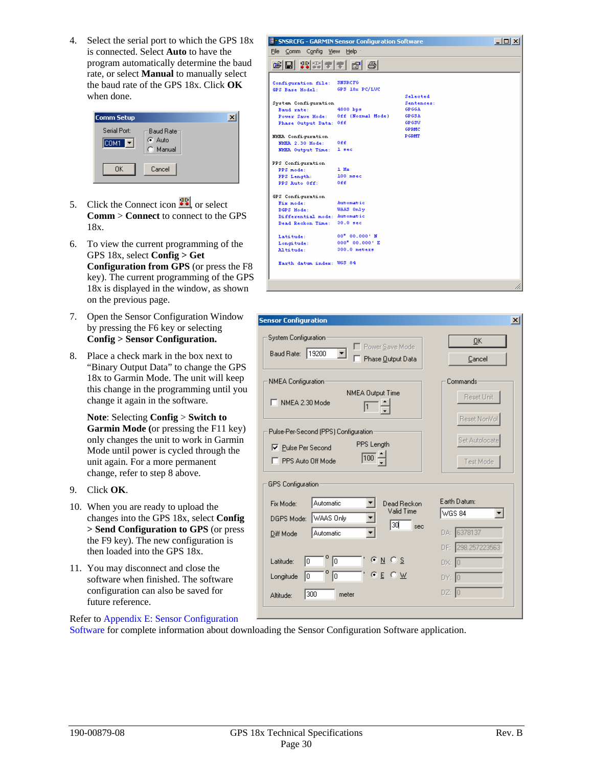4. Select the serial port to which the GPS 18x is connected. Select **Auto** to have the program automatically determine the baud rate, or select **Manual** to manually select the baud rate of the GPS 18x. Click **OK** when done.

| Comm Setup            |                                        | × |
|-----------------------|----------------------------------------|---|
| Serial Port:<br>ICOM1 | <b>Baud Rate</b><br>C Auto<br>C Manual |   |
| OΚ                    | Cancel                                 |   |

- 5. Click the Connect icon  $\frac{98}{10}$  or select **Comm** > **Connect** to connect to the GPS 18x.
- 6. To view the current programming of the GPS 18x, select **Config > Get Configuration from GPS** (or press the F8 key). The current programming of the GPS 18x is displayed in the window, as shown on the previous page.
- 7. Open the Sensor Configuration Window by pressing the F6 key or selecting **Config > Sensor Configuration.**
- 8. Place a check mark in the box next to "Binary Output Data" to change the GPS 18x to Garmin Mode. The unit will keep this change in the programming until you change it again in the software.

**Note**: Selecting **Config** > **Switch to Garmin Mode (**or pressing the F11 key) only changes the unit to work in Garmin Mode until power is cycled through the unit again. For a more permanent change, refer to step 8 above.

- 9. Click **OK**.
- 10. When you are ready to upload the changes into the GPS 18x, select **Config > Send Configuration to GPS** (or press the F9 key). The new configuration is then loaded into the GPS 18x.
- 11. You may disconnect and close the software when finished. The software configuration can also be saved for future reference.

#### <mark>计 SNSRCFG - GARMIN Sensor Configuration Software</mark> **JOK** File Comm Config View Help 너머 저서치의 왜 뭐 Configuration file: SNSRCFG GPS Base Hodel:  $GPS$  18 $\times$  PC/LVC Selected System Configuration Sentences .<br>Baud rate:<br>Power Save Hode: 4800 bps GPGGA Off (Normal Mode) GPGSA Phase Output Data: Off **COCRSS** GPRMC **NHEA** Configuration **PGRMT** MHRA 2.30 Hode:  $0.66$ MHEA Output Time: 1 sec PPS Configuration  $1 \text{ Hz}$ PPS mode:  $100$  msec PPS Length:  $0.005$ PPS Auto Off: GPS Configuration Automatic Fix mode: WAAS Only DGPS Hode Differential mode: Automatic Dead Reckon Time: 30.0 sec  $00''$   $00,000''$  M Latitude:  $000^6$   $00,000$ ' E  $\texttt{Longi} \, \texttt{tude} \colon$ Altitude:  $300.0$  meters Earth datum index: UGS 84

| <b>Sensor Configuration</b>                             | $\vert x \vert$   |
|---------------------------------------------------------|-------------------|
| System Configuration:<br>Power Save Mode                | 0K                |
| Baud Rate: 19200<br>▾<br>Phase Output Data              | Cancel            |
| NMEA Configuration                                      | Commands          |
| NMEA Output Time<br>NMEA 2.30 Mode                      | Reset Unit        |
|                                                         | Reset NonVol      |
| Pulse-Per-Second (PPS) Configuration-<br>PPS Length     | Set Autolocate    |
| <b>▽</b> Pulse Per Second<br> 100 <br>PPS Auto Off Mode |                   |
|                                                         | Test Mode         |
| GPS Configuration                                       |                   |
| Automatic<br>Dead Reckon<br>Fix Mode:                   | Earth Datum:      |
| Valid Time<br>WAAS Only<br>DGPS Mode:<br>l3di           | WGS 84            |
| sec<br>Automatic<br>Diff Mode                           | DA: 6378137       |
|                                                         | DF: 298.257223563 |
| 6 N<br>$\sqrt{6}$<br>10<br>Latitude:                    | DX: 0             |
| C E C W<br>0<br>10<br>Longitude                         | DY: 0             |
| 300<br>meter<br>Altitude:                               | $DZ:$ $\boxed{0}$ |
|                                                         |                   |

Refer to [Appendix E: Sensor Configuration](#page-34-0) 

[Software](#page-34-0) for complete information about downloading the Sensor Configuration Software application.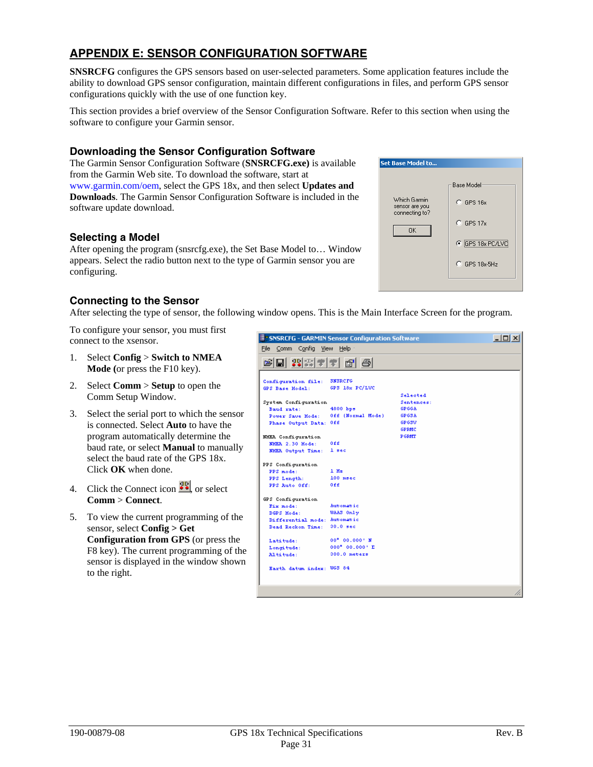# <span id="page-34-0"></span>**APPENDIX E: SENSOR CONFIGURATION SOFTWARE**

**SNSRCFG** configures the GPS sensors based on user-selected parameters. Some application features include the ability to download GPS sensor configuration, maintain different configurations in files, and perform GPS sensor configurations quickly with the use of one function key.

This section provides a brief overview of the Sensor Configuration Software. Refer to this section when using the software to configure your Garmin sensor.

## **Downloading the Sensor Configuration Software**

The Garmin Sensor Configuration Software (**SNSRCFG.exe)** is available from the Garmin Web site. To download the software, start at [www.garmin.com/oem](http://www.garmin.com/oem), select the GPS 18x, and then select **Updates and Downloads**. The Garmin Sensor Configuration Software is included in the software update download.

## **Selecting a Model**

After opening the program (snsrcfg.exe), the Set Base Model to… Window appears. Select the radio button next to the type of Garmin sensor you are configuring.

## **Connecting to the Sensor**

After selecting the type of sensor, the following window opens. This is the Main Interface Screen for the program.

To configure your sensor, you must first connect to the xsensor.

- 1. Select **Config** > **Switch to NMEA Mode (**or press the F10 key).
- 2. Select **Comm** > **Setup** to open the Comm Setup Window.
- 3. Select the serial port to which the sensor is connected. Select **Auto** to have the program automatically determine the baud rate, or select **Manual** to manually select the baud rate of the GPS 18x. Click **OK** when done.
- 4. Click the Connect icon  $\frac{dP}{dx}$  or select **Comm** > **Connect**.
- 5. To view the current programming of the sensor, select **Config > Get Configuration from GPS** (or press the F8 key). The current programming of the sensor is displayed in the window shown to the right.

| <b>ET SNSRCFG - GARMIN Sensor Configuration Software</b> |                              |                            | $\Box$ l $\Box$ l $\times$ |
|----------------------------------------------------------|------------------------------|----------------------------|----------------------------|
|                                                          | File Comm Config View Help - |                            |                            |
| 我需要量<br>$\blacksquare$<br>鸢                              | $\mathbb{B}^1$<br>- 49       |                            |                            |
|                                                          |                              |                            |                            |
| Configuration file:                                      | <b>SNSRCFG</b>               |                            |                            |
| GPS Base Hodel:                                          | GPS 18x PC/LUC               |                            |                            |
|                                                          |                              | Selected                   |                            |
| System Configuration<br>Baud rate:                       | 4800 bps                     | Sentences:<br><b>GPGGA</b> |                            |
| Power Save Hode:                                         | Off (Normal Mode)            | GP GSA                     |                            |
| Phase Output Data: Off                                   |                              | GP GSV                     |                            |
|                                                          |                              | <b>GPRMC</b>               |                            |
| MHEA Configuration                                       |                              | <b>P GRAT</b>              |                            |
| NHER 2.30 Hode:                                          | 0ff                          |                            |                            |
| MHEA Output Time:                                        | 1 sec                        |                            |                            |
| PPS Configuration                                        |                              |                            |                            |
| PPS mode:                                                | $1$ H <sub>m</sub>           |                            |                            |
| PPS Length:                                              | $100$ msec                   |                            |                            |
| PPS Auto Off:                                            | 0££                          |                            |                            |
| GPS Configuration                                        |                              |                            |                            |
| Fix mode:                                                | Automatic                    |                            |                            |
| DGPS Hode:                                               | WAAS Only                    |                            |                            |
| Differential mode: Automatic                             |                              |                            |                            |
| Dead Reckon Time:                                        | 30.0 sec                     |                            |                            |
| Latitude:                                                | 00" 00.000' N                |                            |                            |
| Longitude:                                               | 000° 00.000' E               |                            |                            |
| Altitude:                                                | $300.0$ meters               |                            |                            |
| Earth datum index: WGS 84                                |                              |                            |                            |
|                                                          |                              |                            |                            |

Set Base Model to.

Which Garmin

sensor are you

0K

**Base Model** 

 $C$  GPS 16x

 $C$  GPS 17x

G GPS 18x PC/LVC

C GPS 18x-5Hz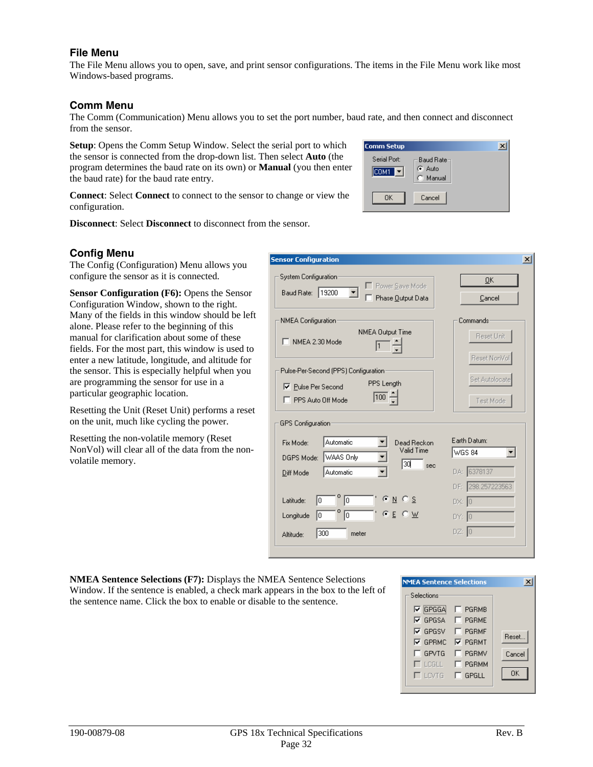#### <span id="page-35-0"></span>**File Menu**

The File Menu allows you to open, save, and print sensor configurations. The items in the File Menu work like most Windows-based programs.

#### **Comm Menu**

The Comm (Communication) Menu allows you to set the port number, baud rate, and then connect and disconnect from the sensor.

**Setup**: Opens the Comm Setup Window. Select the serial port to which the sensor is connected from the drop-down list. Then select **Auto** (the program determines the baud rate on its own) or **Manual** (you then enter the baud rate) for the baud rate entry.

| <b>Comm Setup</b>     |                                |  |
|-----------------------|--------------------------------|--|
| Serial Port:<br>ICOM1 | Baud Rate-<br>G Auto<br>Manual |  |
| 0K.                   | Cancel                         |  |

**Connect**: Select **Connect** to connect to the sensor to change or view the configuration.

**Disconnect**: Select **Disconnect** to disconnect from the sensor.

#### **Config Menu**

The Config (Configuration) Menu allows you configure the sensor as it is connected.

**Sensor Configuration (F6):** Opens the Sensor Configuration Window, shown to the right. Many of the fields in this window should be left alone. Please refer to the beginning of this manual for clarification about some of these fields. For the most part, this window is used to enter a new latitude, longitude, and altitude for the sensor. This is especially helpful when you are programming the sensor for use in a particular geographic location.

Resetting the Unit (Reset Unit) performs a reset on the unit, much like cycling the power.

Resetting the non-volatile memory (Reset NonVol) will clear all of the data from the nonvolatile memory.

| <b>Sensor Configuration</b>                                                                                                 |                                                    |
|-----------------------------------------------------------------------------------------------------------------------------|----------------------------------------------------|
| System Configuration:<br>Power Save Mode<br>Baud Rate: 19200<br>Phase Output Data                                           | 0K<br>Cancel                                       |
| NMEA Configuration<br><b>NMEA Output Time</b><br>NMEA 2.30 Mode                                                             | Commands<br>Reset Unit<br>Reset NonVol             |
| Pulse-Per-Second (PPS) Configuration:<br>PPS Length<br><b>▽</b> Pulse Per Second<br>$\overline{100} -$<br>PPS Auto Off Mode | Set Autolocate<br>Test Mode                        |
| GPS Configuration<br>Automatic<br>Fix Mode:<br>Dead Reckon<br>Valid Time<br>WAAS Only<br>DGPS Mode:<br>ЗQ<br>sec            | Earth Datum:<br><b>WGS 84</b>                      |
| Automatic<br>Diff Mode<br>C N C S<br>I٥<br>lo.<br>Latitude:<br>$C \subseteq C \times$<br>10<br>I٥<br>Longitude              | DA: 6378137<br>DF: 298.257223563<br>DX: 0<br>DY: 0 |
| 300<br>meter<br>Altitude:                                                                                                   | DZ: 0                                              |

**NMEA Sentence Selections (F7):** Displays the NMEA Sentence Selections Window. If the sentence is enabled, a check mark appears in the box to the left of the sentence name. Click the box to enable or disable to the sentence.

| <b>NMEA Sentence Selections</b> |                                                               |        |
|---------------------------------|---------------------------------------------------------------|--------|
| Selections                      |                                                               |        |
| $\nabla$ GPGGA $\Box$ PGRMB     |                                                               |        |
| $\nabla$ GPGSA $\Box$ PGRME     |                                                               |        |
| $\nabla$ GPGSV                  | $\Box$ PGRMF                                                  | Reset  |
| <b>▽ GPRMC ▽ PGRMT</b>          |                                                               |        |
| □ GPVTG                         | <b>FI PGRMV</b>                                               | Cancel |
| <b>TLCGLL</b>                   | $\Box$ PGRMM                                                  |        |
|                                 | $\overline{\phantom{a}}$ lovig $\overline{\phantom{a}}$ gpgll | OK     |
|                                 |                                                               |        |